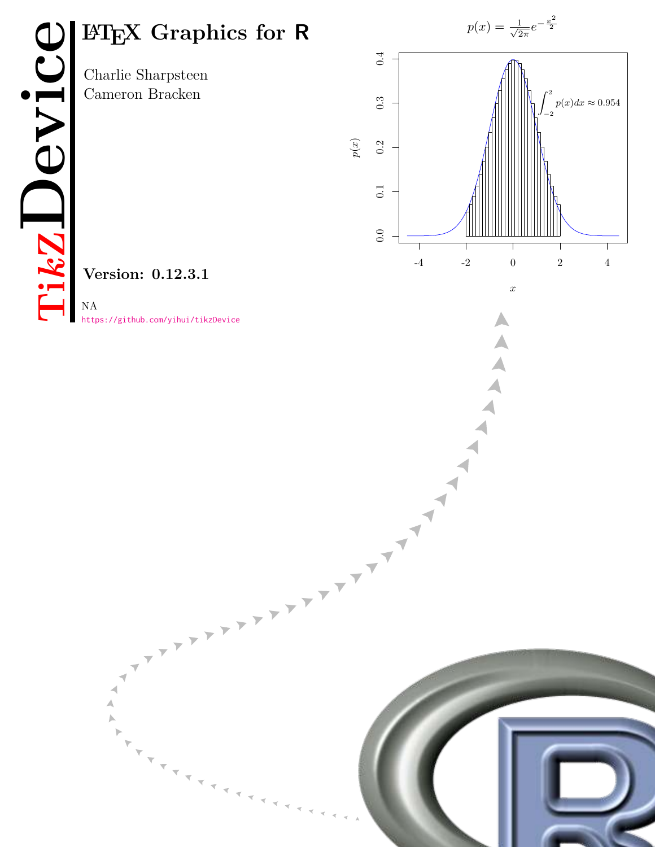Charlie Sharpsteen Cameron Bracken



A

A

**Version: 0.12.3.1**

<https://github.com/yihui/tikzDevice>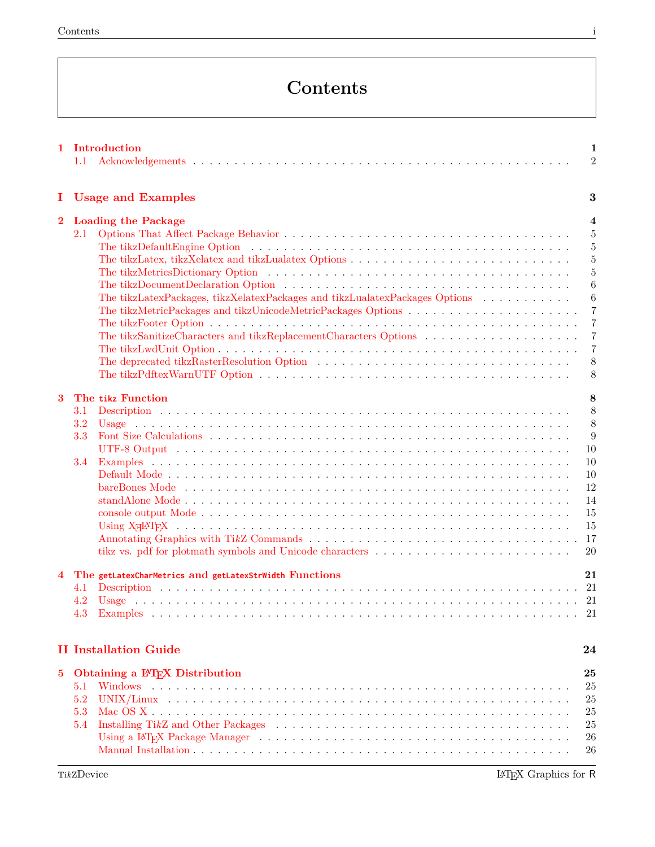# **Contents**

|              | 1 Introduction<br>1.1                                                                                                                                                                                                                                                                        | $\mathbf{1}$<br>$\overline{2}$                                                                                                                                                 |
|--------------|----------------------------------------------------------------------------------------------------------------------------------------------------------------------------------------------------------------------------------------------------------------------------------------------|--------------------------------------------------------------------------------------------------------------------------------------------------------------------------------|
| Ι.           | <b>Usage and Examples</b>                                                                                                                                                                                                                                                                    | 3                                                                                                                                                                              |
| $\mathbf{2}$ | <b>Loading the Package</b><br>2.1<br>The tikzLatexPackages, tikzXelatexPackages and tikzLualatexPackages Options                                                                                                                                                                             | $\overline{\mathbf{4}}$<br>$\overline{5}$<br>$\overline{5}$<br>$\overline{5}$<br>5<br>6<br>6<br>$\overline{7}$<br>$\overline{7}$<br>$\overline{7}$<br>$\overline{7}$<br>8<br>8 |
| 3            | The tikz Function<br>3.1<br>3.2<br>3.3<br>3.4<br>bareBones Mode running running running resources and the bare Bones Mode running running running resources and<br>tikz vs. pdf for plotmath symbols and Unicode characters                                                                  | 8<br>8<br>8<br>9<br>10<br>10<br>10<br>12<br>14<br>15<br>15<br>17<br>20                                                                                                         |
| 4            | The getLatexCharMetrics and getLatexStrWidth Functions<br>4.1<br>4.2<br>4.3<br><b>II Installation Guide</b>                                                                                                                                                                                  | 21<br>21<br>24                                                                                                                                                                 |
| 5            | Obtaining a IATEX Distribution<br>5.1<br>5.2<br>5.3<br>5.4<br>Installing TikZ and Other Packages (and the state of the state of the state of the Packages (a) is a state of the state of the state of the state of the state of the state of the state of the state of the state of the stat | 25<br>25<br>25<br>25<br>25<br>26<br>26                                                                                                                                         |

TikZDevice **LATEX** Graphics for R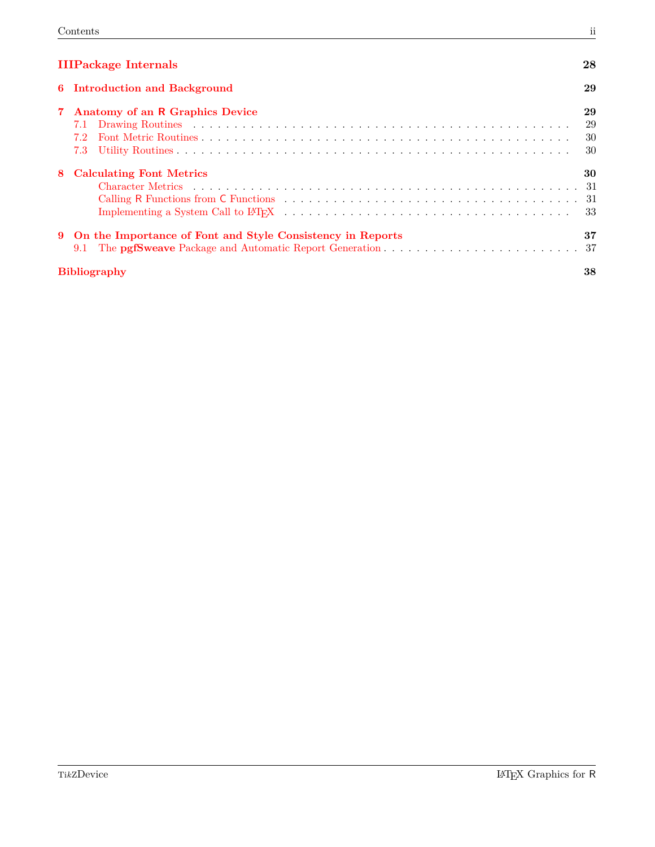| <b>IIIPackage Internals</b> |  |
|-----------------------------|--|
|                             |  |

| <b>IIIPackage Internals</b> |                                                                                                                                                                                                                                                                     | 28                   |
|-----------------------------|---------------------------------------------------------------------------------------------------------------------------------------------------------------------------------------------------------------------------------------------------------------------|----------------------|
|                             | 6 Introduction and Background                                                                                                                                                                                                                                       | 29                   |
|                             | 7 Anatomy of an R Graphics Device<br>7.1 Drawing Routines (Aller Construction Construction Construction Construction Construction Construction Construction Construction Construction Construction Construction Construction Construction Construction Construction | 29<br>29<br>30<br>30 |
|                             | 8 Calculating Font Metrics                                                                                                                                                                                                                                          | 30                   |
|                             | 9 On the Importance of Font and Style Consistency in Reports                                                                                                                                                                                                        | 37                   |
|                             | <b>Bibliography</b>                                                                                                                                                                                                                                                 | 38                   |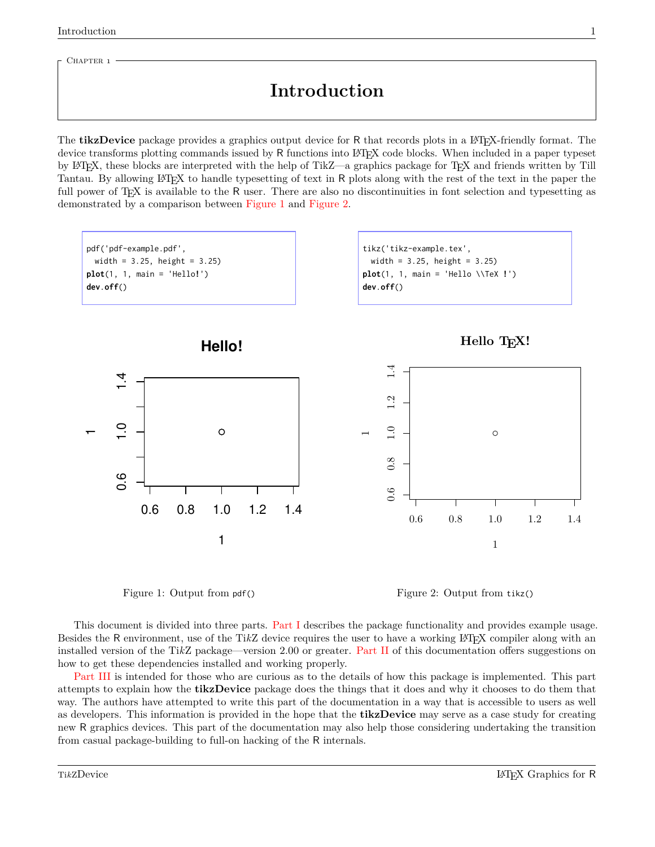<span id="page-3-0"></span>CHAPTER 1

# **Introduction**

The **tikzDevice** package provides a graphics output device for R that records plots in a LAT<sub>EX</sub>-friendly format. The device transforms plotting commands issued by <sup>R</sup> functions into L<sup>A</sup>TEX code blocks. When included in a paper typeset by L<sup>A</sup>TEX, these blocks are interpreted with the help of TikZ—a graphics package for TEX and friends written by Till Tantau. By allowing LATEX to handle typesetting of text in R plots along with the rest of the text in the paper the full power of T<sub>EX</sub> is available to the R user. There are also no discontinuities in font selection and typesetting as demonstrated by a comparison between [Figure 1](#page-3-1) and [Figure 2.](#page-3-2)



<span id="page-3-1"></span>

<span id="page-3-2"></span>Figure 2: Output from tikz()

This document is divided into three parts. [Part I](#page-5-0) describes the package functionality and provides example usage. Besides the R environment, use of the TikZ device requires the user to have a working LAT<sub>EX</sub> compiler along with an installed version of the Ti*k*Z package—version 2.00 or greater. [Part II](#page-26-0) of this documentation offers suggestions on how to get these dependencies installed and working properly.

[Part III](#page-30-0) is intended for those who are curious as to the details of how this package is implemented. This part attempts to explain how the **tikzDevice** package does the things that it does and why it chooses to do them that way. The authors have attempted to write this part of the documentation in a way that is accessible to users as well as developers. This information is provided in the hope that the **tikzDevice** may serve as a case study for creating new R graphics devices. This part of the documentation may also help those considering undertaking the transition from casual package-building to full-on hacking of the R internals.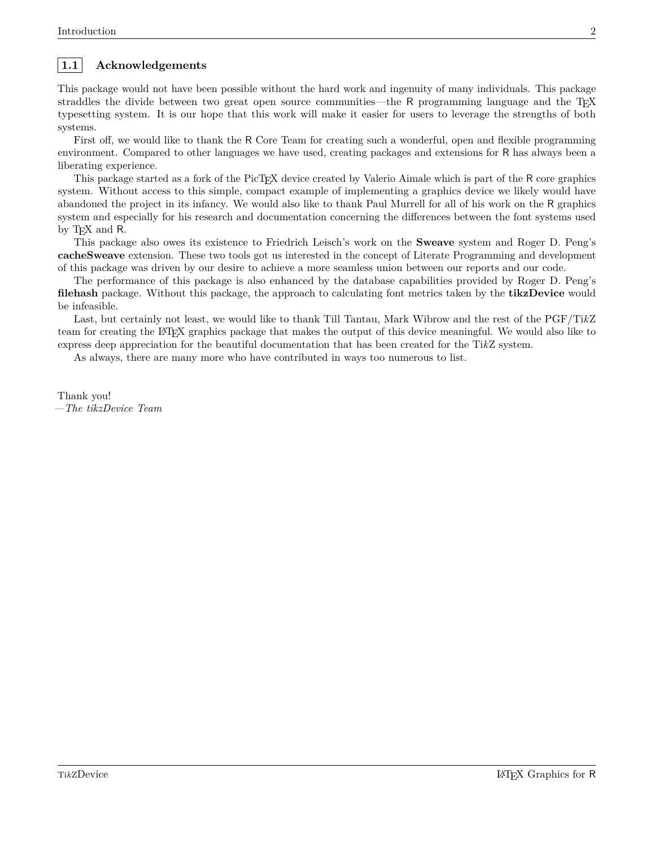## <span id="page-4-0"></span>**1.1 Acknowledgements**

This package would not have been possible without the hard work and ingenuity of many individuals. This package straddles the divide between two great open source communities—the R programming language and the T<sub>EX</sub> typesetting system. It is our hope that this work will make it easier for users to leverage the strengths of both systems.

First off, we would like to thank the R Core Team for creating such a wonderful, open and flexible programming environment. Compared to other languages we have used, creating packages and extensions for R has always been a liberating experience.

This package started as a fork of the PicT<sub>EX</sub> device created by Valerio Aimale which is part of the R core graphics system. Without access to this simple, compact example of implementing a graphics device we likely would have abandoned the project in its infancy. We would also like to thank Paul Murrell for all of his work on the R graphics system and especially for his research and documentation concerning the differences between the font systems used by T<sub>E</sub>X and R.

This package also owes its existence to Friedrich Leisch's work on the **Sweave** system and Roger D. Peng's **cacheSweave** extension. These two tools got us interested in the concept of Literate Programming and development of this package was driven by our desire to achieve a more seamless union between our reports and our code.

The performance of this package is also enhanced by the database capabilities provided by Roger D. Peng's **filehash** package. Without this package, the approach to calculating font metrics taken by the **tikzDevice** would be infeasible.

Last, but certainly not least, we would like to thank Till Tantau, Mark Wibrow and the rest of the PGF/Ti*k*Z team for creating the L<sup>A</sup>TEX graphics package that makes the output of this device meaningful. We would also like to express deep appreciation for the beautiful documentation that has been created for the Ti*k*Z system.

As always, there are many more who have contributed in ways too numerous to list.

Thank you! *—The tikzDevice Team*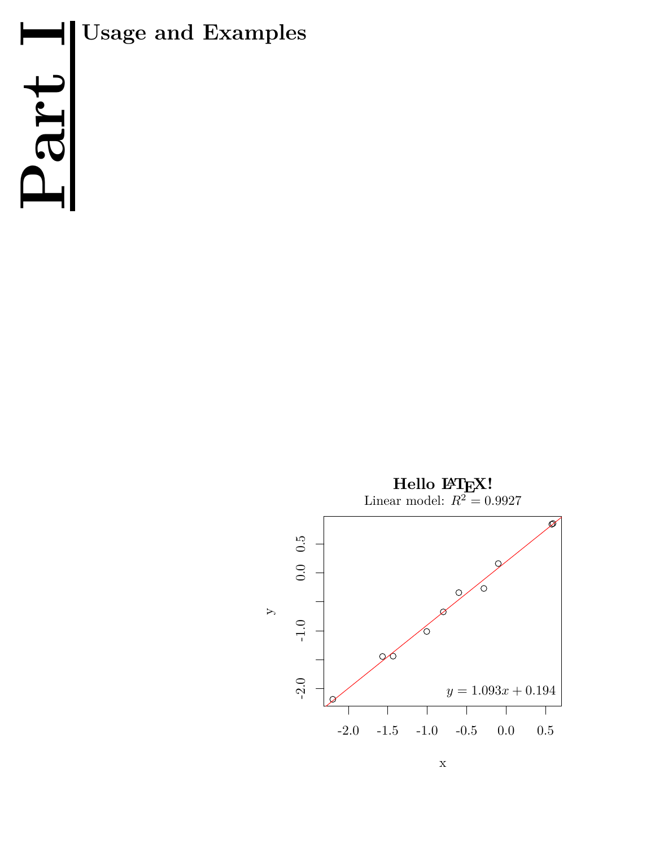

<span id="page-5-0"></span>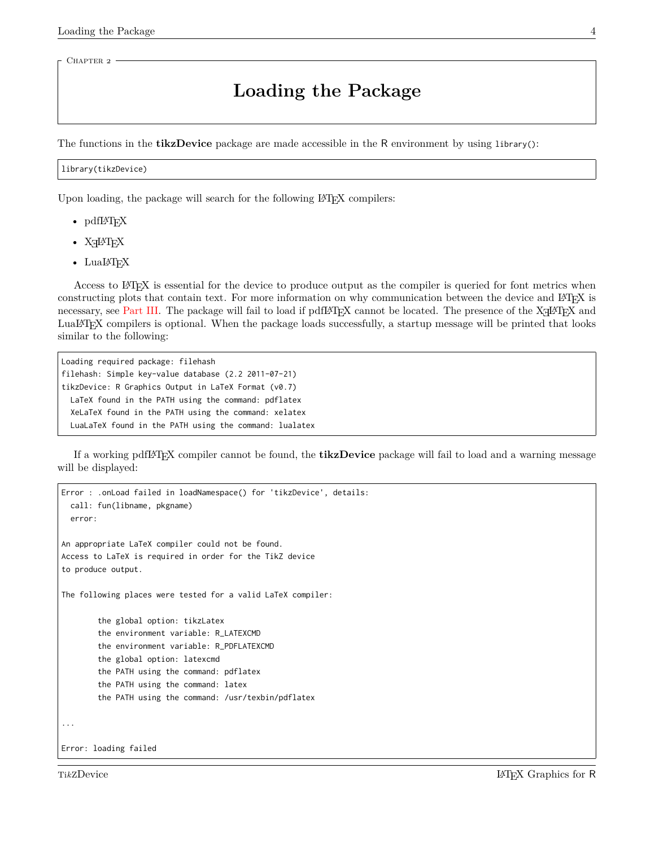<span id="page-6-0"></span>CHAPTER<sub>2</sub>

# **Loading the Package**

The functions in the **tikzDevice** package are made accessible in the R environment by using library():

#### library(tikzDevice)

Upon loading, the package will search for the following L<sup>A</sup>TEX compilers:

- pdfL $\Delta$ T<sub>E</sub>X
- XHATEX
- LuaL<sup>AT</sup>FX

Access to L<sup>A</sup>TEX is essential for the device to produce output as the compiler is queried for font metrics when constructing plots that contain text. For more information on why communication between the device and LATEX is necessary, see [Part III.](#page-30-0) The package will fail to load if  $pdfBTEX$  cannot be located. The presence of the  $XgIBTEX$  and LuaL<sup>A</sup>TEX compilers is optional. When the package loads successfully, a startup message will be printed that looks similar to the following:

Loading required package: filehash filehash: Simple key-value database (2.2 2011-07-21) tikzDevice: R Graphics Output in LaTeX Format (v0.7) LaTeX found in the PATH using the command: pdflatex XeLaTeX found in the PATH using the command: xelatex LuaLaTeX found in the PATH using the command: lualatex

If a working pdfL<sup>A</sup>TEX compiler cannot be found, the **tikzDevice** package will fail to load and a warning message will be displayed:

```
Error : .onLoad failed in loadNamespace() for 'tikzDevice', details:
 call: fun(libname, pkgname)
  error:
An appropriate LaTeX compiler could not be found.
Access to LaTeX is required in order for the TikZ device
to produce output.
The following places were tested for a valid LaTeX compiler:
        the global option: tikzLatex
        the environment variable: R_LATEXCMD
        the environment variable: R_PDFLATEXCMD
        the global option: latexcmd
        the PATH using the command: pdflatex
        the PATH using the command: latex
        the PATH using the command: /usr/texbin/pdflatex
...
Error: loading failed
```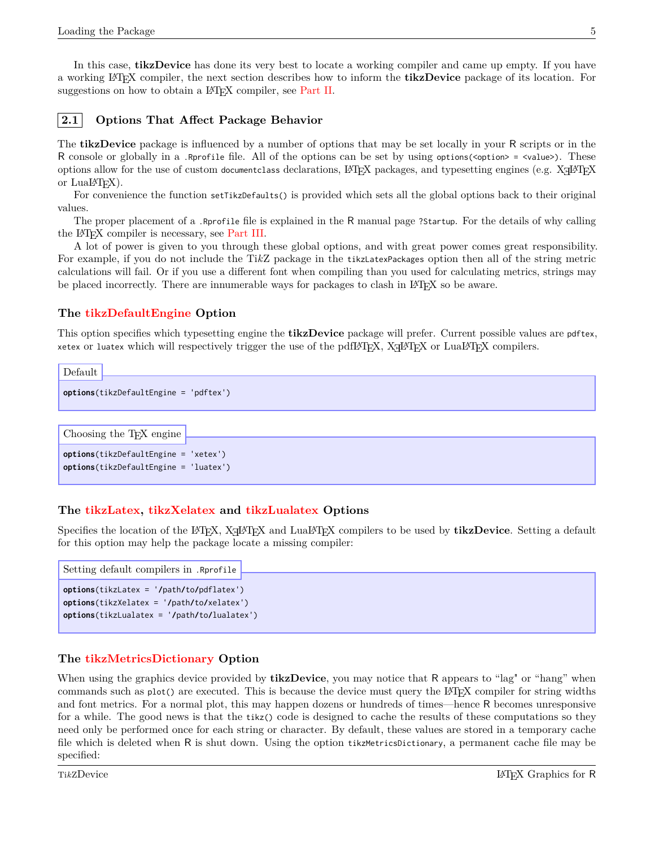In this case, **tikzDevice** has done its very best to locate a working compiler and came up empty. If you have a working L<sup>A</sup>TEX compiler, the next section describes how to inform the **tikzDevice** package of its location. For suggestions on how to obtain a IAT<sub>F</sub>X compiler, see [Part II.](#page-26-0)

<span id="page-7-0"></span>

Default

### **2.1 Options That Affect Package Behavior**

The **tikzDevice** package is influenced by a number of options that may be set locally in your R scripts or in the R console or globally in a .Rprofile file. All of the options can be set by using options(<option> = <value>). These options allow for the use of custom documentclass declarations,  $\mathbb{F} \to \mathbb{F}$  packages, and typesetting engines (e.g.  $\mathbb{X} \to \mathbb{F}$ or  $Lu\Delta H_F X$ ).

For convenience the function setTikzDefaults() is provided which sets all the global options back to their original values.

The proper placement of a .Rprofile file is explained in the R manual page ?Startup. For the details of why calling the L<sup>A</sup>TEX compiler is necessary, see [Part III.](#page-30-0)

A lot of power is given to you through these global options, and with great power comes great responsibility. For example, if you do not include the Ti*k*Z package in the tikzLatexPackages option then all of the string metric calculations will fail. Or if you use a different font when compiling than you used for calculating metrics, strings may be placed incorrectly. There are innumerable ways for packages to clash in LAT<sub>EX</sub> so be aware.

#### <span id="page-7-1"></span>**The tikzDefaultEngine Option**

This option specifies which typesetting engine the **tikzDevice** package will prefer. Current possible values are pdftex,  $x$ etex or luatex which will respectively trigger the use of the pdfLAT<sub>E</sub>X, X<sub>E</sub>LAT<sub>E</sub>X or LuaLAT<sub>E</sub>X compilers.

```
options(tikzDefaultEngine = 'pdftex')
```
Choosing the TEX engine

```
options(tikzDefaultEngine = 'xetex')
options(tikzDefaultEngine = 'luatex')
```
#### <span id="page-7-2"></span>**The tikzLatex, tikzXelatex and tikzLualatex Options**

Specifies the location of the L<sup>AT</sup>EX, X<sub>H</sub>AT<sub>E</sub>X and LuaL<sup>A</sup>T<sub>E</sub>X compilers to be used by **tikzDevice**. Setting a default for this option may help the package locate a missing compiler:

```
options(tikzLatex = '/path/to/pdflatex')
options(tikzXelatex = '/path/to/xelatex')
options(tikzLualatex = '/path/to/lualatex')
Setting default compilers in .Rprofile
```
#### <span id="page-7-3"></span>**The tikzMetricsDictionary Option**

When using the graphics device provided by **tikzDevice**, you may notice that R appears to "lag" or "hang" when commands such as plot() are executed. This is because the device must query the LATEX compiler for string widths and font metrics. For a normal plot, this may happen dozens or hundreds of times—hence R becomes unresponsive for a while. The good news is that the tikz() code is designed to cache the results of these computations so they need only be performed once for each string or character. By default, these values are stored in a temporary cache file which is deleted when R is shut down. Using the option tikzMetricsDictionary, a permanent cache file may be specified: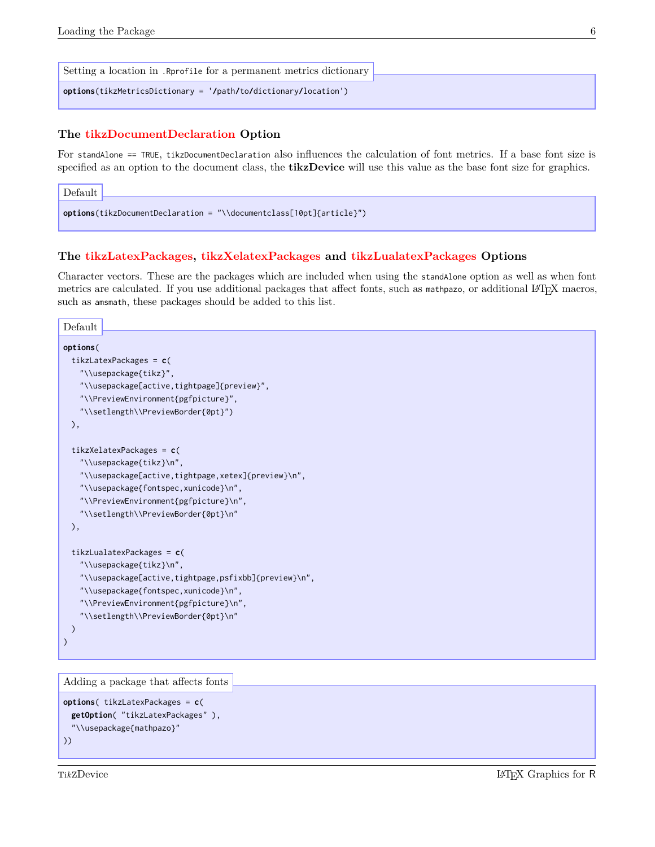| Setting a location in . Reprofile for a permanent metrics dictionary |
|----------------------------------------------------------------------|
| options(tikzMetricsDictionary = '/path/to/dictionary/location')      |

#### <span id="page-8-0"></span>**The tikzDocumentDeclaration Option**

For standAlone == TRUE, tikzDocumentDeclaration also influences the calculation of font metrics. If a base font size is specified as an option to the document class, the **tikzDevice** will use this value as the base font size for graphics.

```
options(tikzDocumentDeclaration = "\\documentclass[10pt]{article}")
Default
```
#### <span id="page-8-1"></span>**The tikzLatexPackages, tikzXelatexPackages and tikzLualatexPackages Options**

Character vectors. These are the packages which are included when using the standAlone option as well as when font metrics are calculated. If you use additional packages that affect fonts, such as mathpazo, or additional LATEX macros, such as amsmath, these packages should be added to this list.

```
options(
 tikzLatexPackages = c(
   "\\usepackage{tikz}",
   "\\usepackage[active,tightpage]{preview}",
   "\\PreviewEnvironment{pgfpicture}",
   "\\setlength\\PreviewBorder{0pt}")
 ),
 tikzXelatexPackages = c(
   "\\usepackage{tikz}\n",
   "\\usepackage[active,tightpage,xetex]{preview}\n",
   "\\usepackage{fontspec,xunicode}\n",
   "\\PreviewEnvironment{pgfpicture}\n",
   "\\setlength\\PreviewBorder{0pt}\n"
 ),
 tikzLualatexPackages = c(
   "\\usepackage{tikz}\n",
   "\\usepackage[active,tightpage,psfixbb]{preview}\n",
   "\\usepackage{fontspec,xunicode}\n",
   "\\PreviewEnvironment{pgfpicture}\n",
   "\\setlength\\PreviewBorder{0pt}\n"
 )
)
Default
```

```
Adding a package that affects fonts
```

```
options( tikzLatexPackages = c(
  getOption( "tikzLatexPackages" ),
  "\\usepackage{mathpazo}"
))
```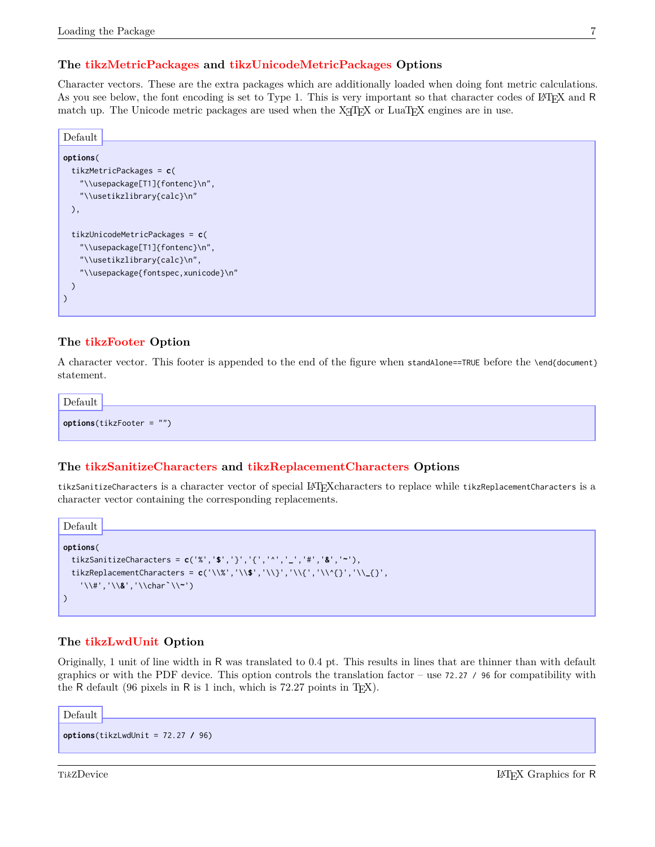### <span id="page-9-0"></span>**The tikzMetricPackages and tikzUnicodeMetricPackages Options**

Character vectors. These are the extra packages which are additionally loaded when doing font metric calculations. As you see below, the font encoding is set to Type 1. This is very important so that character codes of LATEX and R match up. The Unicode metric packages are used when the  $X_{T}$ F<sub>E</sub>X or LuaT<sub>E</sub>X engines are in use.

**options**( tikzMetricPackages = **c**( "\\usepackage[T1]{fontenc}\n", "\\usetikzlibrary{calc}\n" ), tikzUnicodeMetricPackages = **c**( "\\usepackage[T1]{fontenc}\n", "\\usetikzlibrary{calc}\n", "\\usepackage{fontspec,xunicode}\n" ) ) Default

#### <span id="page-9-1"></span>**The tikzFooter Option**

A character vector. This footer is appended to the end of the figure when standAlone==TRUE before the \end{document} statement.

**options**(tikzFooter = "")

Default

#### <span id="page-9-2"></span>**The tikzSanitizeCharacters and tikzReplacementCharacters Options**

tikzSanitizeCharacters is a character vector of special L<sup>A</sup>TEXcharacters to replace while tikzReplacementCharacters is a character vector containing the corresponding replacements.

```
options(
 tikzSanitizeCharacters = c('%','$','}','{','^','_','#','&','~'),
 tikzReplacementCharacters = c('\\%','\\$','\\}','\\{','\\^{}','\\_{}',
    '\\#','\\&','\\char`\\~')
)
Default
```
#### <span id="page-9-3"></span>**The tikzLwdUnit Option**

Originally, 1 unit of line width in R was translated to 0.4 pt. This results in lines that are thinner than with default graphics or with the PDF device. This option controls the translation factor – use 72.27 / 96 for compatibility with the R default (96 pixels in R is 1 inch, which is  $72.27$  points in T<sub>E</sub>X).

Default

```
options(tikzLwdUnit = 72.27 / 96)
```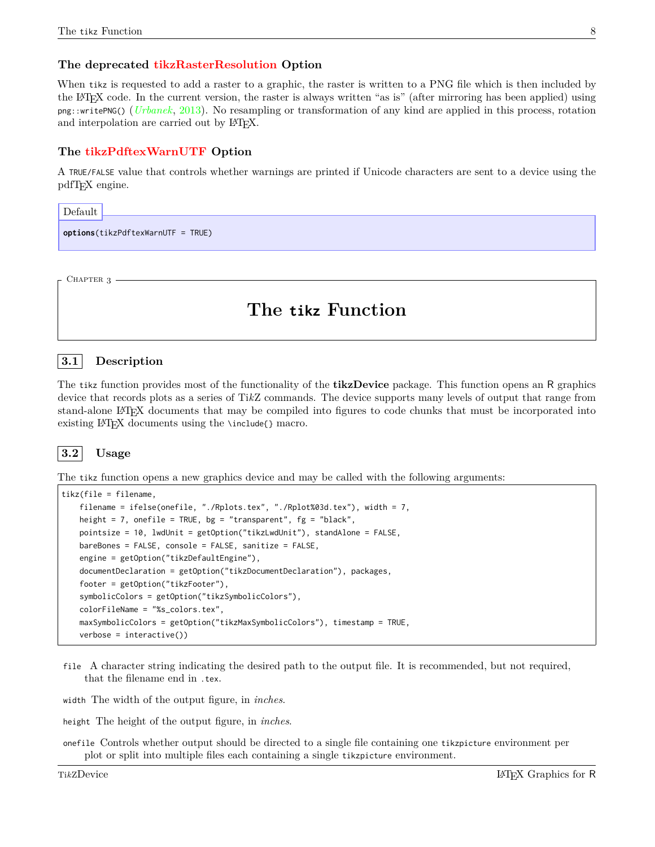### <span id="page-10-0"></span>**The deprecated tikzRasterResolution Option**

When tikz is requested to add a raster to a graphic, the raster is written to a PNG file which is then included by the L<sup>A</sup>TEX code. In the current version, the raster is always written "as is" (after mirroring has been applied) using png::writePNG() (*[Urbanek](#page-40-1)*, [2013\)](#page-40-1). No resampling or transformation of any kind are applied in this process, rotation and interpolation are carried out by LAT<sub>E</sub>X.

#### <span id="page-10-1"></span>**The tikzPdftexWarnUTF Option**

A TRUE/FALSE value that controls whether warnings are printed if Unicode characters are sent to a device using the pdfT<sub>E</sub>X engine.

| Default |                                          |
|---------|------------------------------------------|
|         | $\phi$ options(tikzPdftexWarnUTF = TRUE) |
|         |                                          |

<span id="page-10-2"></span>CHAPTER 3

# **The tikz Function**

#### <span id="page-10-3"></span>**3.1 Description**

The tikz function provides most of the functionality of the **tikzDevice** package. This function opens an R graphics device that records plots as a series of Ti*k*Z commands. The device supports many levels of output that range from stand-alone L<sup>A</sup>TEX documents that may be compiled into figures to code chunks that must be incorporated into existing LAT<sub>E</sub>X documents using the \include{} macro.

<span id="page-10-4"></span>

The tikz function opens a new graphics device and may be called with the following arguments:

```
tikz(file = filename,
   filename = ifelse(onefile, "./Rplots.tex", "./Rplot%03d.tex"), width = 7,
   height = 7, onefile = TRUE, bg = "transparent", fg = "black",pointsize = 10, lwdUnit = getOption("tikzLwdUnit"), standAlone = FALSE,
   bareBones = FALSE, console = FALSE, sanitize = FALSE,
   engine = getOption("tikzDefaultEngine"),
   documentDeclaration = getOption("tikzDocumentDeclaration"), packages,
   footer = getOption("tikzFooter"),
   symbolicColors = getOption("tikzSymbolicColors"),
   colorFileName = "%s_colors.tex",
   maxSymbolicColors = getOption("tikzMaxSymbolicColors"), timestamp = TRUE,
   verbose = interface(i)
```
file A character string indicating the desired path to the output file. It is recommended, but not required, that the filename end in .tex.

width The width of the output figure, in *inches*.

height The height of the output figure, in *inches*.

onefile Controls whether output should be directed to a single file containing one tikzpicture environment per plot or split into multiple files each containing a single tikzpicture environment.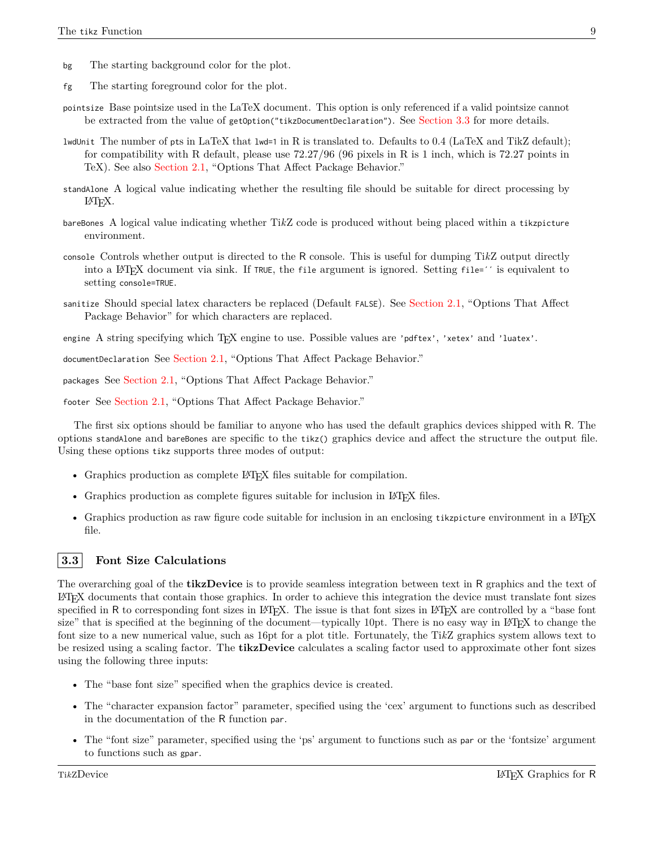- bg The starting background color for the plot.
- fg The starting foreground color for the plot.
- pointsize Base pointsize used in the LaTeX document. This option is only referenced if a valid pointsize cannot be extracted from the value of getOption("tikzDocumentDeclaration"). See [Section 3.3](#page-11-0) for more details.
- lwdUnit The number of pts in LaTeX that lwd=1 in R is translated to. Defaults to 0.4 (LaTeX and TikZ default); for compatibility with R default, please use  $72.27/96$  (96 pixels in R is 1 inch, which is 72.27 points in TeX). See also [Section 2.1,](#page-7-0) "Options That Affect Package Behavior."
- standAlone A logical value indicating whether the resulting file should be suitable for direct processing by L<sup>A</sup>TEX.
- bareBones A logical value indicating whether Ti*k*Z code is produced without being placed within a tikzpicture environment.
- console Controls whether output is directed to the R console. This is useful for dumping Ti*k*Z output directly into a L<sup>A</sup>TEX document via sink. If TRUE, the file argument is ignored. Setting file=´´ is equivalent to setting console=TRUE.
- sanitize Should special latex characters be replaced (Default FALSE). See [Section 2.1,](#page-7-0) "Options That Affect Package Behavior" for which characters are replaced.
- engine A string specifying which TFX engine to use. Possible values are 'pdftex', 'xetex' and 'luatex'.

documentDeclaration See [Section 2.1,](#page-7-0) "Options That Affect Package Behavior."

packages See [Section 2.1,](#page-7-0) "Options That Affect Package Behavior."

footer See [Section 2.1,](#page-7-0) "Options That Affect Package Behavior."

The first six options should be familiar to anyone who has used the default graphics devices shipped with R. The options standAlone and bareBones are specific to the tikz() graphics device and affect the structure the output file. Using these options tikz supports three modes of output:

- Graphics production as complete LAT<sub>EX</sub> files suitable for compilation.
- Graphics production as complete figures suitable for inclusion in LAT<sub>EX</sub> files.
- Graphics production as raw figure code suitable for inclusion in an enclosing tikzpicture environment in a LAT<sub>E</sub>X file.

#### <span id="page-11-0"></span>**3.3 Font Size Calculations**

The overarching goal of the **tikzDevice** is to provide seamless integration between text in R graphics and the text of L<sup>A</sup>TEX documents that contain those graphics. In order to achieve this integration the device must translate font sizes specified in R to corresponding font sizes in LAT<sub>EX</sub>. The issue is that font sizes in LAT<sub>EX</sub> are controlled by a "base font" size" that is specified at the beginning of the document—typically 10pt. There is no easy way in LATEX to change the font size to a new numerical value, such as 16pt for a plot title. Fortunately, the Ti*k*Z graphics system allows text to be resized using a scaling factor. The **tikzDevice** calculates a scaling factor used to approximate other font sizes using the following three inputs:

- The "base font size" specified when the graphics device is created.
- The "character expansion factor" parameter, specified using the 'cex' argument to functions such as described in the documentation of the R function par.
- The "font size" parameter, specified using the 'ps' argument to functions such as par or the 'fontsize' argument to functions such as gpar.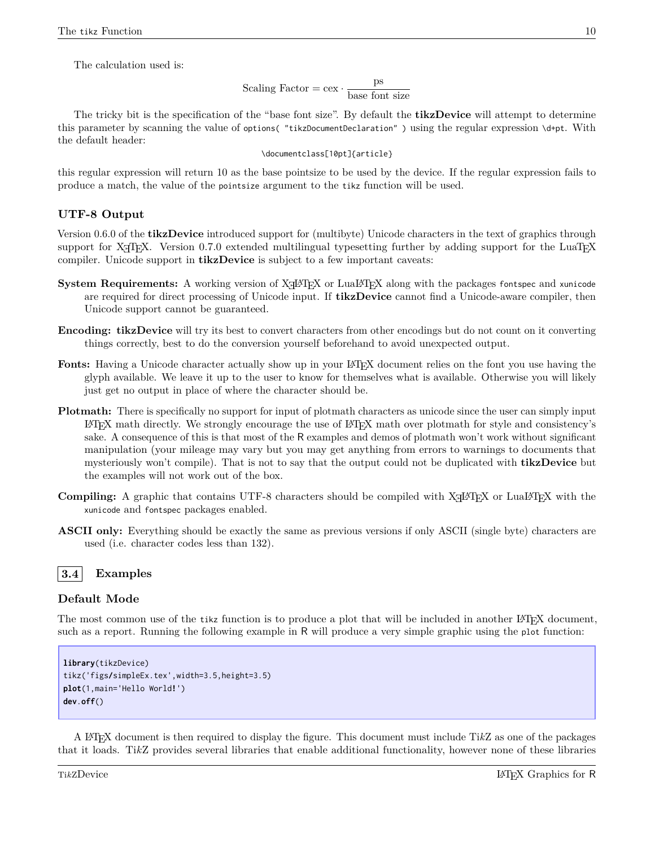The calculation used is:

Scaling Factor = cex  $\cdot \frac{ps}{1 - s}$ base font size

The tricky bit is the specification of the "base font size". By default the **tikzDevice** will attempt to determine this parameter by scanning the value of options( "tikzDocumentDeclaration" ) using the regular expression \d+pt. With the default header:

\documentclass[10pt]{article}

this regular expression will return 10 as the base pointsize to be used by the device. If the regular expression fails to produce a match, the value of the pointsize argument to the tikz function will be used.

#### <span id="page-12-0"></span>**UTF-8 Output**

Version 0.6.0 of the **tikzDevice** introduced support for (multibyte) Unicode characters in the text of graphics through support for X<sub>T</sub>T<sub>E</sub>X. Version 0.7.0 extended multilingual typesetting further by adding support for the LuaT<sub>E</sub>X compiler. Unicode support in **tikzDevice** is subject to a few important caveats:

- System Requirements: A working version of XHAT<sub>EX</sub> or LuaLAT<sub>EX</sub> along with the packages fontspec and xunicode are required for direct processing of Unicode input. If **tikzDevice** cannot find a Unicode-aware compiler, then Unicode support cannot be guaranteed.
- **Encoding: tikzDevice** will try its best to convert characters from other encodings but do not count on it converting things correctly, best to do the conversion yourself beforehand to avoid unexpected output.
- Fonts: Having a Unicode character actually show up in your L<sup>AT</sup>EX document relies on the font you use having the glyph available. We leave it up to the user to know for themselves what is available. Otherwise you will likely just get no output in place of where the character should be.
- **Plotmath:** There is specifically no support for input of plotmath characters as unicode since the user can simply input L<sup>A</sup>TEX math directly. We strongly encourage the use of L<sup>A</sup>TEX math over plotmath for style and consistency's sake. A consequence of this is that most of the R examples and demos of plotmath won't work without significant manipulation (your mileage may vary but you may get anything from errors to warnings to documents that mysteriously won't compile). That is not to say that the output could not be duplicated with **tikzDevice** but the examples will not work out of the box.
- Compiling: A graphic that contains UTF-8 characters should be compiled with X<sub>H</sub>AT<sub>E</sub>X or LuaLAT<sub>E</sub>X with the xunicode and fontspec packages enabled.
- **ASCII only:** Everything should be exactly the same as previous versions if only ASCII (single byte) characters are used (i.e. character codes less than 132).

### <span id="page-12-1"></span>**3.4 Examples**

#### <span id="page-12-2"></span>**Default Mode**

The most common use of the tikz function is to produce a plot that will be included in another LATEX document, such as a report. Running the following example in R will produce a very simple graphic using the plot function:

```
library(tikzDevice)
tikz('figs/simpleEx.tex',width=3.5,height=3.5)
plot(1,main='Hello World!')
dev.off()
```
A L<sup>A</sup>TEX document is then required to display the figure. This document must include Ti*k*Z as one of the packages that it loads. Ti*k*Z provides several libraries that enable additional functionality, however none of these libraries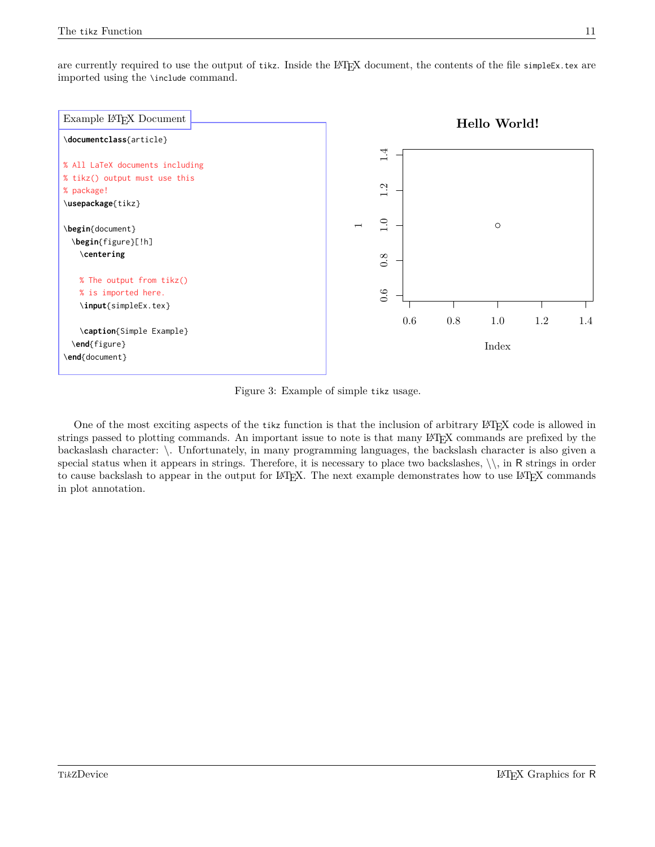are currently required to use the output of tikz. Inside the LATEX document, the contents of the file simpleEx.tex are imported using the \include command.



Figure 3: Example of simple tikz usage.

One of the most exciting aspects of the tikz function is that the inclusion of arbitrary L<sup>A</sup>TEX code is allowed in strings passed to plotting commands. An important issue to note is that many LATEX commands are prefixed by the backaslash character: \. Unfortunately, in many programming languages, the backslash character is also given a special status when it appears in strings. Therefore, it is necessary to place two backslashes,  $\setminus$ , in R strings in order to cause backslash to appear in the output for LATEX. The next example demonstrates how to use LATEX commands in plot annotation.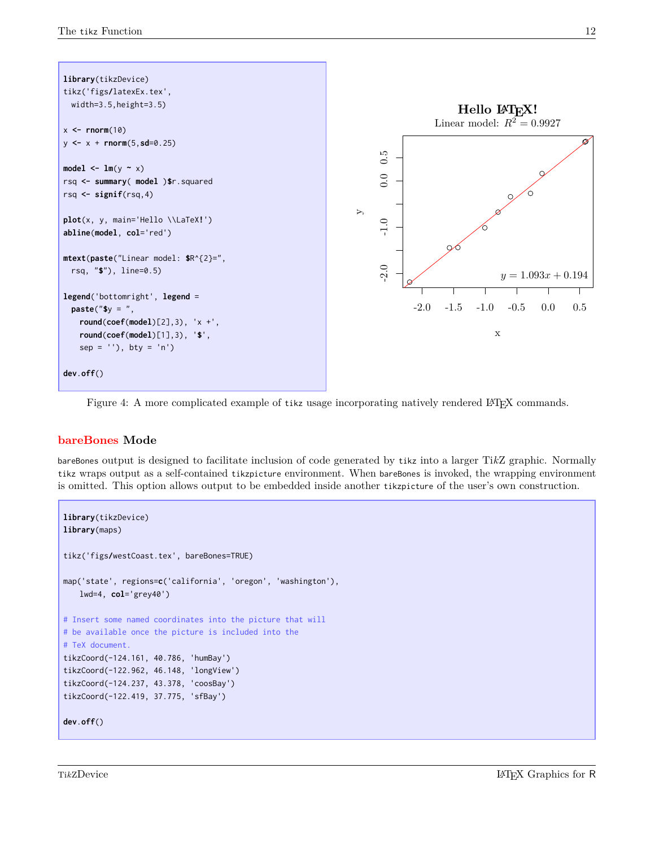

Figure 4: A more complicated example of tikz usage incorporating natively rendered LATEX commands.

### <span id="page-14-0"></span>**bareBones Mode**

bareBones output is designed to facilitate inclusion of code generated by tikz into a larger Ti*k*Z graphic. Normally tikz wraps output as a self-contained tikzpicture environment. When bareBones is invoked, the wrapping environment is omitted. This option allows output to be embedded inside another tikzpicture of the user's own construction.

```
library(tikzDevice)
library(maps)
tikz('figs/westCoast.tex', bareBones=TRUE)
map('state', regions=c('california', 'oregon', 'washington'),
   lwd=4, col='grey40')
# Insert some named coordinates into the picture that will
# be available once the picture is included into the
# TeX document.
tikzCoord(-124.161, 40.786, 'humBay')
tikzCoord(-122.962, 46.148, 'longView')
tikzCoord(-124.237, 43.378, 'coosBay')
tikzCoord(-122.419, 37.775, 'sfBay')
dev.off()
```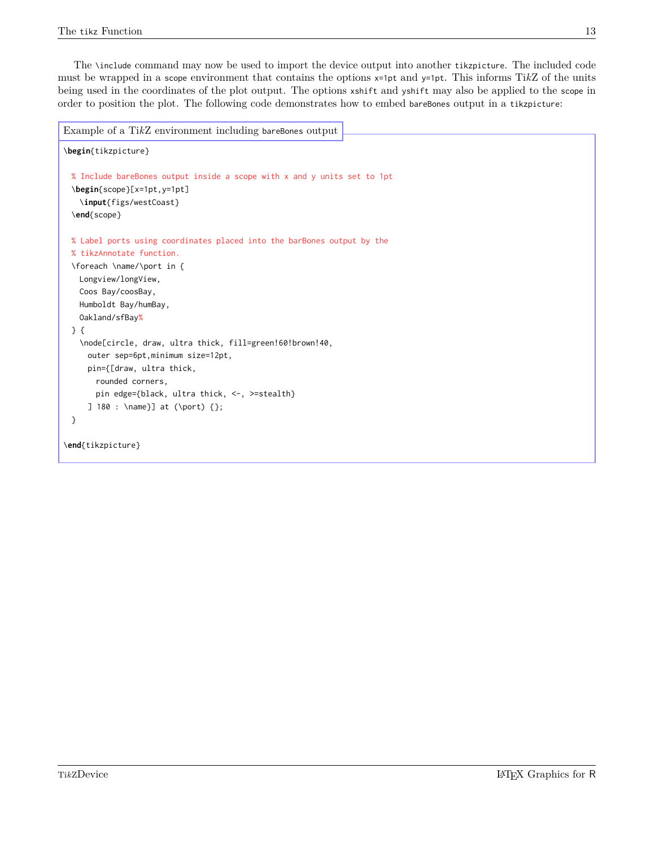The \include command may now be used to import the device output into another tikzpicture. The included code must be wrapped in a scope environment that contains the options x=1pt and y=1pt. This informs Ti*k*Z of the units being used in the coordinates of the plot output. The options xshift and yshift may also be applied to the scope in order to position the plot. The following code demonstrates how to embed bareBones output in a tikzpicture:

```
\begin{tikzpicture}
 % Include bareBones output inside a scope with x and y units set to 1pt
 \begin{scope}[x=1pt,y=1pt]
   \input{figs/westCoast}
 \end{scope}
 % Label ports using coordinates placed into the barBones output by the
 % tikzAnnotate function.
 \foreach \name/\port in {
   Longview/longView,
   Coos Bay/coosBay,
   Humboldt Bay/humBay,
   Oakland/sfBay%
 } {
   \node[circle, draw, ultra thick, fill=green!60!brown!40,
     outer sep=6pt,minimum size=12pt,
     pin={[draw, ultra thick,
       rounded corners,
       pin edge={black, ultra thick, <-, >=stealth}
     ] 180 : \name}] at (\port) {};
 }
\end{tikzpicture}
Example of a TikZ environment including bareBones output
```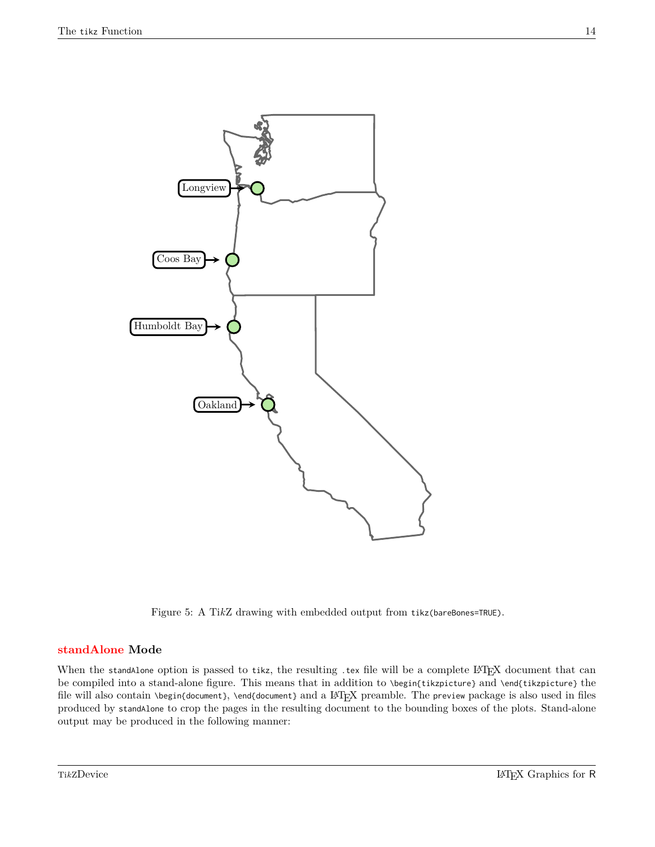

Figure 5: A Ti*k*Z drawing with embedded output from tikz(bareBones=TRUE).

#### <span id="page-16-0"></span>**standAlone Mode**

When the standAlone option is passed to tikz, the resulting .tex file will be a complete LATEX document that can be compiled into a stand-alone figure. This means that in addition to \begin{tikzpicture} and \end{tikzpicture} the file will also contain \begin{document}, \end{document} and a LATEX preamble. The preview package is also used in files produced by standAlone to crop the pages in the resulting document to the bounding boxes of the plots. Stand-alone output may be produced in the following manner: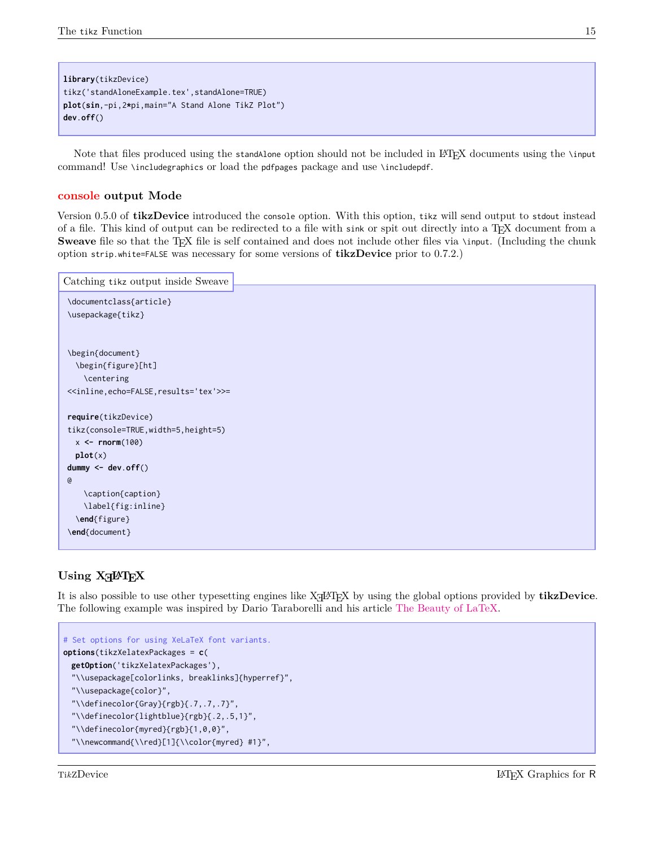```
library(tikzDevice)
tikz('standAloneExample.tex',standAlone=TRUE)
plot(sin,-pi,2*pi,main="A Stand Alone TikZ Plot")
dev.off()
```
Note that files produced using the standAlone option should not be included in LAT<sub>EX</sub> documents using the \input command! Use \includegraphics or load the pdfpages package and use \includepdf.

#### <span id="page-17-0"></span>**console output Mode**

Version 0.5.0 of **tikzDevice** introduced the console option. With this option, tikz will send output to stdout instead of a file. This kind of output can be redirected to a file with sink or spit out directly into a T<sub>E</sub>X document from a **Sweave** file so that the T<sub>E</sub>X file is self contained and does not include other files via \input. (Including the chunk option strip.white=FALSE was necessary for some versions of **tikzDevice** prior to 0.7.2.)

```
\documentclass{article}
\usepackage{tikz}
\begin{document}
  \begin{figure}[ht]
    \centering
<<inline,echo=FALSE,results='tex'>>=
require(tikzDevice)
tikz(console=TRUE,width=5,height=5)
  x <- rnorm(100)
  plot(x)
dummy <- dev.off()
@
    \caption{caption}
    \label{fig:inline}
  \end{figure}
\end{document}
Catching tikz output inside Sweave
```
## <span id="page-17-1"></span> $\text{Using } \text{XgH1}_E$

It is also possible to use other typesetting engines like XH<sup>AT</sup>EX by using the global options provided by **tikzDevice**. The following example was inspired by Dario Taraborelli and his article [The Beauty of LaTeX.](http://nitens.org/taraborelli/latex)

```
# Set options for using XeLaTeX font variants.
options(tikzXelatexPackages = c(
 getOption('tikzXelatexPackages'),
  "\\usepackage[colorlinks, breaklinks]{hyperref}",
 "\\usepackage{color}",
  "\\definecolor{Gray}{rgb}{.7,.7,.7}",
  "\\definecolor{lightblue}{rgb}{.2,.5,1}",
 "\\definecolor{myred}{rgb}{1,0,0}",
  "\\newcommand{\\red}[1]{\\color{myred} #1}",
```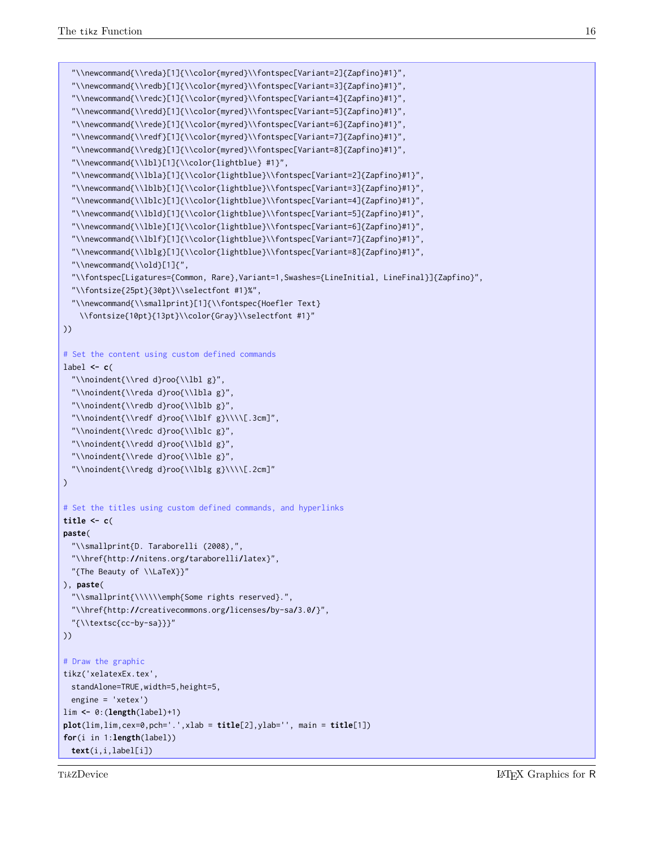```
"\\newcommand{\\reda}[1]{\\color{myred}\\fontspec[Variant=2]{Zapfino}#1}",
  "\\newcommand{\\redb}[1]{\\color{myred}\\fontspec[Variant=3]{Zapfino}#1}",
  "\\newcommand{\\redc}[1]{\\color{myred}\\fontspec[Variant=4]{Zapfino}#1}",
  "\\newcommand{\\redd}[1]{\\color{myred}\\fontspec[Variant=5]{Zapfino}#1}",
  "\\newcommand{\\rede}[1]{\\color{myred}\\fontspec[Variant=6]{Zapfino}#1}",
  "\\newcommand{\\redf}[1]{\\color{myred}\\fontspec[Variant=7]{Zapfino}#1}",
  "\\newcommand{\\redg}[1]{\\color{myred}\\fontspec[Variant=8]{Zapfino}#1}",
  "\\newcommand{\\lbl}[1]{\\color{lightblue} #1}",
  "\\newcommand{\\lbla}[1]{\\color{lightblue}\\fontspec[Variant=2]{Zapfino}#1}",
  "\\newcommand{\\lblb}[1]{\\color{lightblue}\\fontspec[Variant=3]{Zapfino}#1}",
  "\\newcommand{\\lblc}[1]{\\color{lightblue}\\fontspec[Variant=4]{Zapfino}#1}",
  "\\newcommand{\\lbld}[1]{\\color{lightblue}\\fontspec[Variant=5]{Zapfino}#1}",
  "\\newcommand{\\lble}[1]{\\color{lightblue}\\fontspec[Variant=6]{Zapfino}#1}",
  "\\newcommand{\\lblf}[1]{\\color{lightblue}\\fontspec[Variant=7]{Zapfino}#1}",
  "\\newcommand{\\lblg}[1]{\\color{lightblue}\\fontspec[Variant=8]{Zapfino}#1}",
  "\\newcommand{\\old}[1]{",
  "\\fontspec[Ligatures={Common, Rare},Variant=1,Swashes={LineInitial, LineFinal}]{Zapfino}",
  "\\fontsize{25pt}{30pt}\\selectfont #1}%",
  "\\newcommand{\\smallprint}[1]{\\fontspec{Hoefler Text}
   \\fontsize{10pt}{13pt}\\color{Gray}\\selectfont #1}"
))
# Set the content using custom defined commands
label <- c(
  "\\noindent{\\red d}roo{\\lbl g}",
  "\\noindent{\\reda d}roo{\\lbla g}",
  "\\noindent{\\redb d}roo{\\lblb g}",
  "\\noindent{\\redf d}roo{\\lblf g}\\\\[.3cm]",
  "\\noindent{\\redc d}roo{\\lblc g}",
  "\\noindent{\\redd d}roo{\\lbld g}",
  "\\noindent{\\rede d}roo{\\lble g}",
  "\\noindent{\\redg d}roo{\\lblg g}\\\\[.2cm]"
)
# Set the titles using custom defined commands, and hyperlinks
title <- c(
paste(
  "\\smallprint{D. Taraborelli (2008),",
  "\\href{http://nitens.org/taraborelli/latex}",
 "{The Beauty of \\LaTeX}}"
), paste(
  "\\smallprint{\\\\\\emph{Some rights reserved}.",
  "\\href{http://creativecommons.org/licenses/by-sa/3.0/}",
 "{\\textsc{cc-by-sa}}}"
))
# Draw the graphic
tikz('xelatexEx.tex',
 standAlone=TRUE,width=5,height=5,
 engine = 'xetex')
lim <- 0:(length(label)+1)
plot(lim,lim,cex=0,pch='.',xlab = title[2],ylab='', main = title[1])
for(i in 1:length(label))
 text(i,i,label[i])
```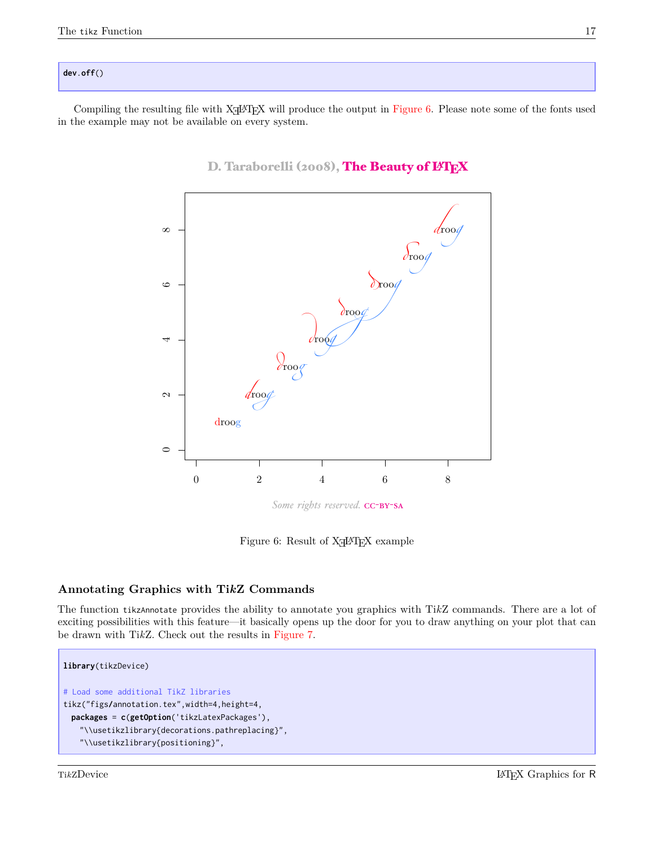#### **dev**.**off**()

Compiling the resulting file with X<sub>H</sub>AT<sub>E</sub>X will produce the output in [Figure 6.](#page-19-1) Please note some of the fonts used in the example may not be available on every system.



## D. Taraborelli (2008), The Beauty of LATEX

<span id="page-19-1"></span>Some rights reserved. CC-BY-SA

Figure 6: Result of  $X \rightarrow Y$  example

### <span id="page-19-0"></span>**Annotating Graphics with Ti***k***Z Commands**

The function tikzAnnotate provides the ability to annotate you graphics with Ti*k*Z commands. There are a lot of exciting possibilities with this feature—it basically opens up the door for you to draw anything on your plot that can be drawn with Ti*k*Z. Check out the results in [Figure 7.](#page-21-0)

```
library(tikzDevice)
# Load some additional TikZ libraries
tikz("figs/annotation.tex",width=4,height=4,
 packages = c(getOption('tikzLatexPackages'),
   "\\usetikzlibrary{decorations.pathreplacing}",
   "\\usetikzlibrary{positioning}",
```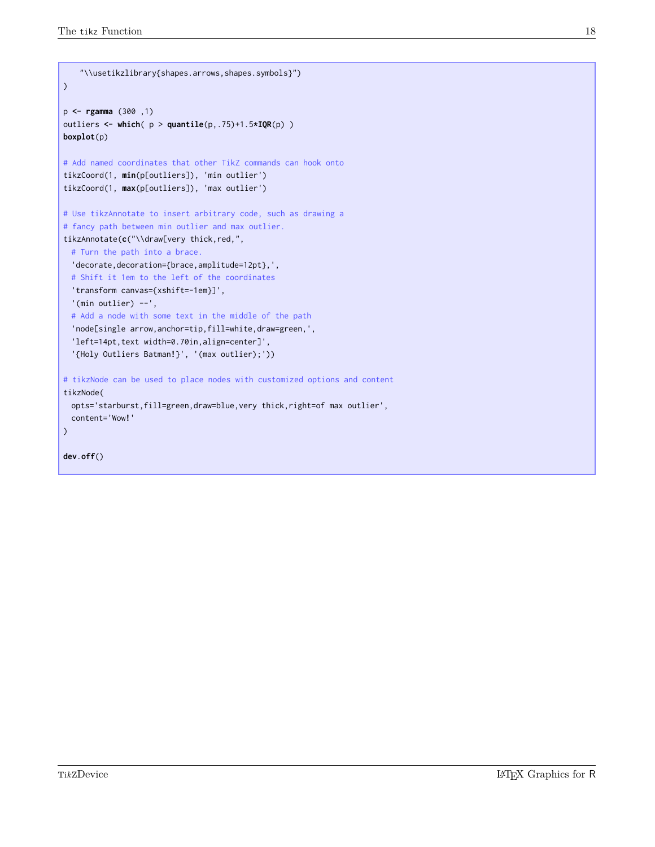```
"\\usetikzlibrary{shapes.arrows,shapes.symbols}")
)
p <- rgamma (300 ,1)
outliers <- which( p > quantile(p,.75)+1.5*IQR(p) )
boxplot(p)
# Add named coordinates that other TikZ commands can hook onto
tikzCoord(1, min(p[outliers]), 'min outlier')
tikzCoord(1, max(p[outliers]), 'max outlier')
# Use tikzAnnotate to insert arbitrary code, such as drawing a
# fancy path between min outlier and max outlier.
tikzAnnotate(c("\\draw[very thick,red,",
 # Turn the path into a brace.
  'decorate,decoration={brace,amplitude=12pt},',
 # Shift it 1em to the left of the coordinates
  'transform canvas={xshift=-1em}]',
  '(min outlier) --',
  # Add a node with some text in the middle of the path
  'node[single arrow,anchor=tip,fill=white,draw=green,',
  'left=14pt,text width=0.70in,align=center]',
  '{Holy Outliers Batman!}', '(max outlier);'))
# tikzNode can be used to place nodes with customized options and content
tikzNode(
 opts='starburst,fill=green,draw=blue,very thick,right=of max outlier',
 content='Wow!'
)
dev.off()
```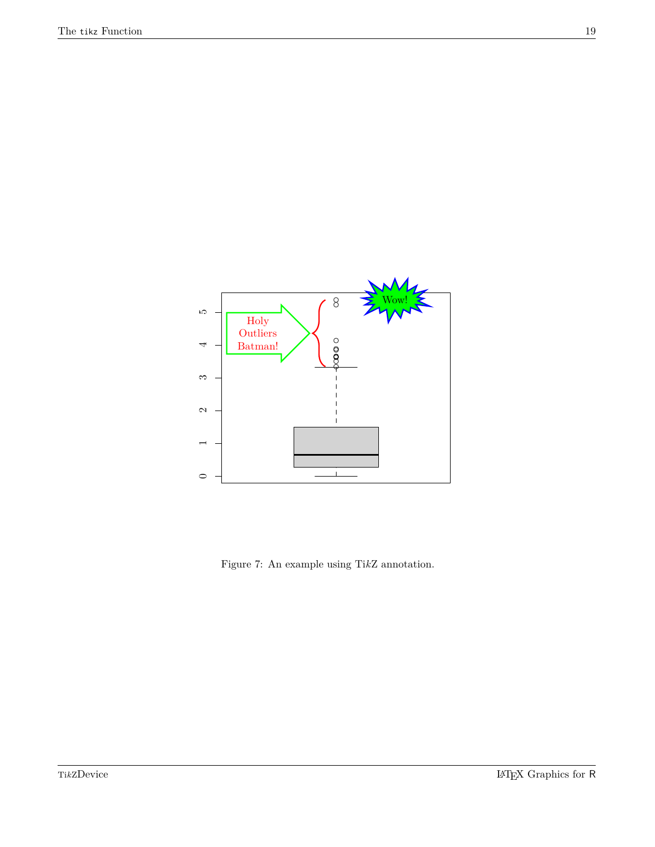

<span id="page-21-0"></span>Figure 7: An example using Ti*k*Z annotation.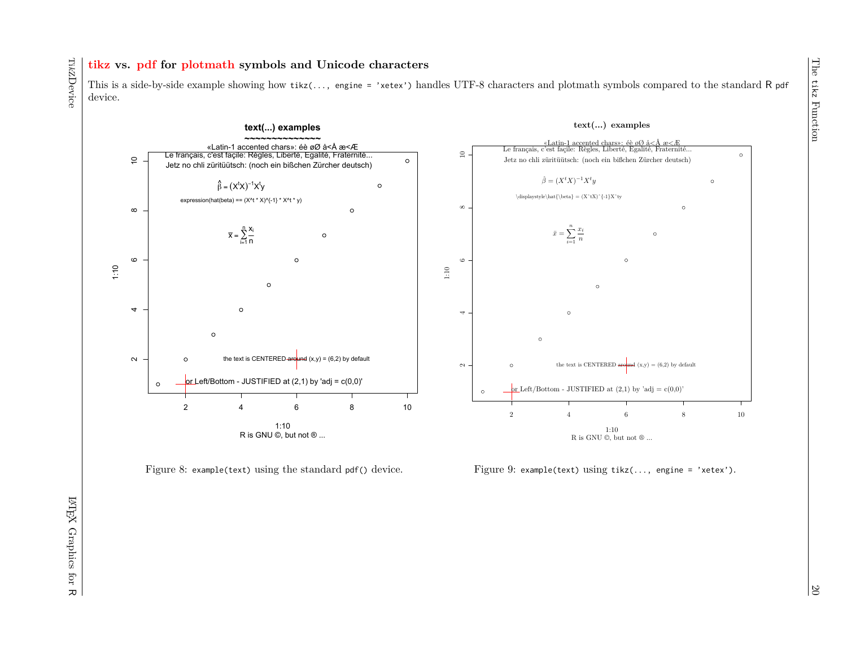## **tikz vs. pdf for plotmath symbols and Unicode characters**

This is a side-by-side example showing how tikz(..., engine = 'xetex') handles UTF-8 characters and plotmath symbols compared to the standard R pdf device.





<span id="page-22-0"></span>Figure 9: example(text) using tikz(..., engine = 'xetex').

Ti*k*ZDevice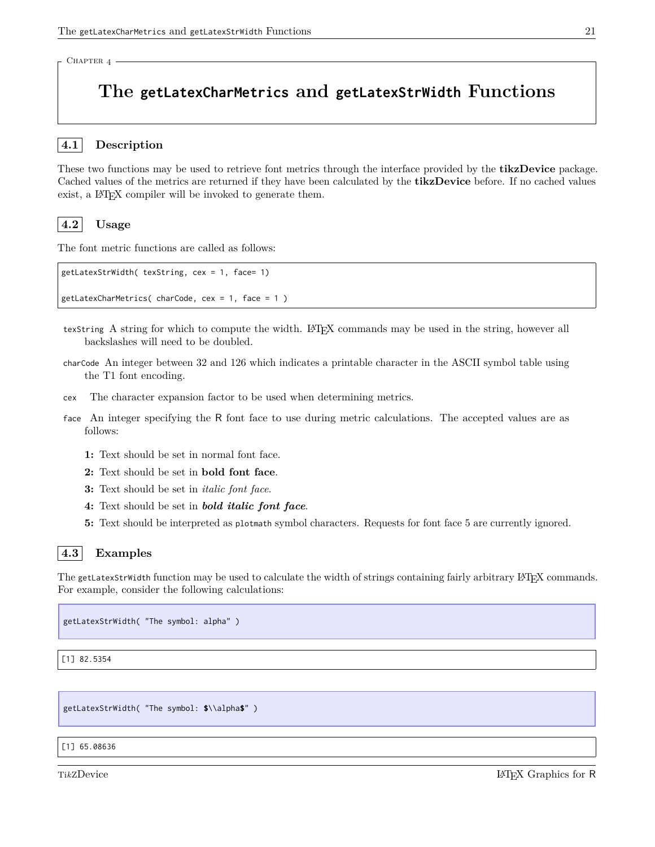<span id="page-23-0"></span>CHAPTER 4 -

# **The getLatexCharMetrics and getLatexStrWidth Functions**

#### <span id="page-23-1"></span>**4.1 Description**

These two functions may be used to retrieve font metrics through the interface provided by the **tikzDevice** package. Cached values of the metrics are returned if they have been calculated by the **tikzDevice** before. If no cached values exist, a LAT<sub>E</sub>X compiler will be invoked to generate them.

### <span id="page-23-2"></span>**4.2 Usage**

The font metric functions are called as follows:

```
getLatexStrWidth( texString, cex = 1, face= 1)
getLatexCharMetrics( charCode, cex = 1, face = 1 )
```
- texString A string for which to compute the width. LATEX commands may be used in the string, however all backslashes will need to be doubled.
- charCode An integer between 32 and 126 which indicates a printable character in the ASCII symbol table using the T1 font encoding.
- cex The character expansion factor to be used when determining metrics.
- face An integer specifying the R font face to use during metric calculations. The accepted values are as follows:
	- **1:** Text should be set in normal font face.
	- **2:** Text should be set in **bold font face**.
	- **3:** Text should be set in *italic font face*.
	- **4:** Text should be set in *bold italic font face*.
	- **5:** Text should be interpreted as plotmath symbol characters. Requests for font face 5 are currently ignored.

#### <span id="page-23-3"></span>**4.3 Examples**

The getLatexStrWidth function may be used to calculate the width of strings containing fairly arbitrary LATEX commands. For example, consider the following calculations:

getLatexStrWidth( "The symbol: alpha" )

[1] 82.5354

getLatexStrWidth( "The symbol: **\$**\\alpha**\$**" )

#### [1] 65.08636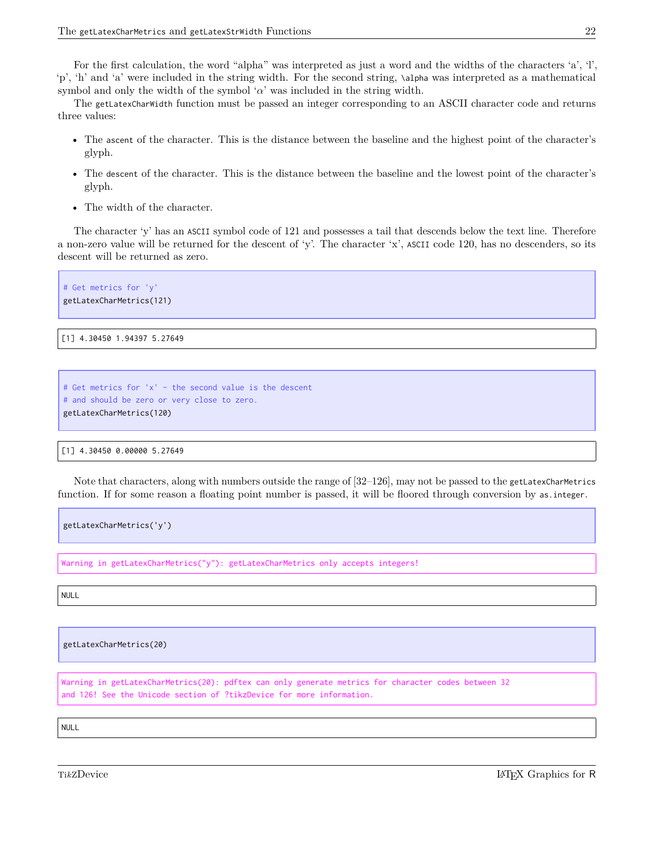For the first calculation, the word "alpha" was interpreted as just a word and the widths of the characters 'a', 'l', 'p', 'h' and 'a' were included in the string width. For the second string, \alpha was interpreted as a mathematical symbol and only the width of the symbol ' $\alpha$ ' was included in the string width.

The getLatexCharWidth function must be passed an integer corresponding to an ASCII character code and returns three values:

- The ascent of the character. This is the distance between the baseline and the highest point of the character's glyph.
- The descent of the character. This is the distance between the baseline and the lowest point of the character's glyph.
- The width of the character.

The character 'y' has an ASCII symbol code of 121 and possesses a tail that descends below the text line. Therefore a non-zero value will be returned for the descent of 'y'. The character 'x', ASCII code 120, has no descenders, so its descent will be returned as zero.

# Get metrics for 'y' getLatexCharMetrics(121)

[1] 4.30450 1.94397 5.27649

```
# Get metrics for 'x' - the second value is the descent
# and should be zero or very close to zero.
getLatexCharMetrics(120)
```
[1] 4.30450 0.00000 5.27649

Note that characters, along with numbers outside the range of [32–126], may not be passed to the getLatexCharMetrics function. If for some reason a floating point number is passed, it will be floored through conversion by as.integer.

getLatexCharMetrics('y')

Warning in getLatexCharMetrics("y"): getLatexCharMetrics only accepts integers!

NULL

getLatexCharMetrics(20)

Warning in getLatexCharMetrics(20): pdftex can only generate metrics for character codes between 32 and 126! See the Unicode section of ?tikzDevice for more information.

NULL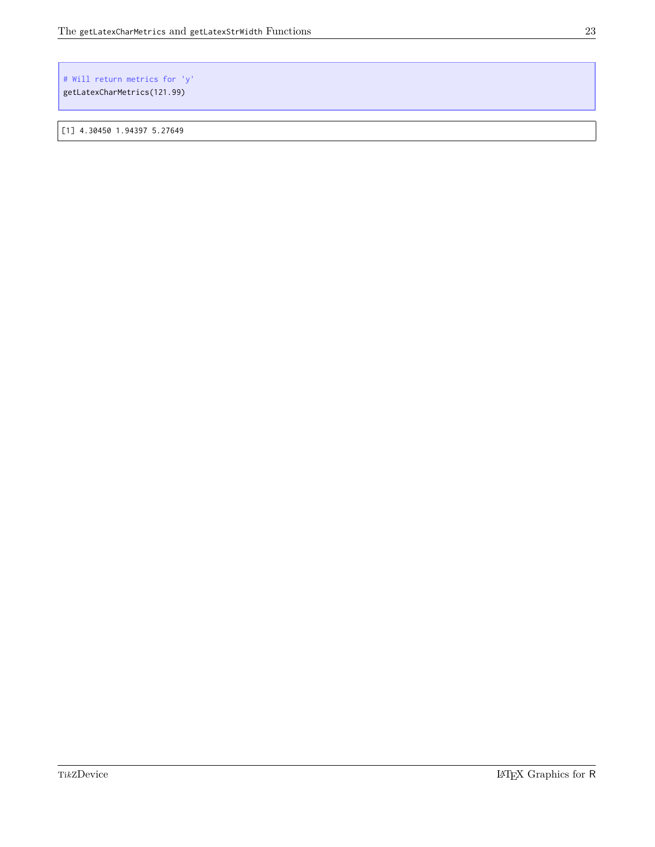#### # Will return metrics for 'y' getLatexCharMetrics(121.99)

[1] 4.30450 1.94397 5.27649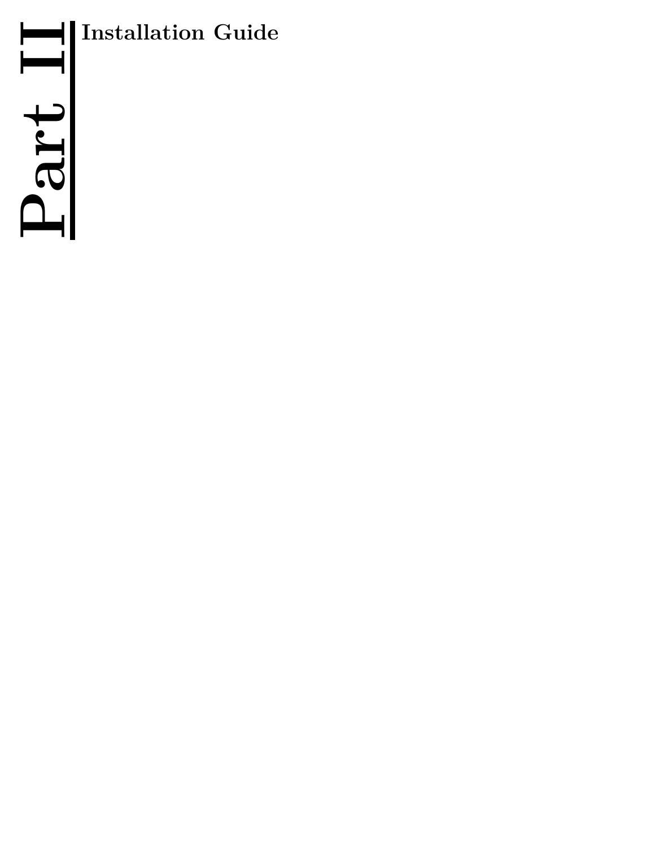

<span id="page-26-0"></span>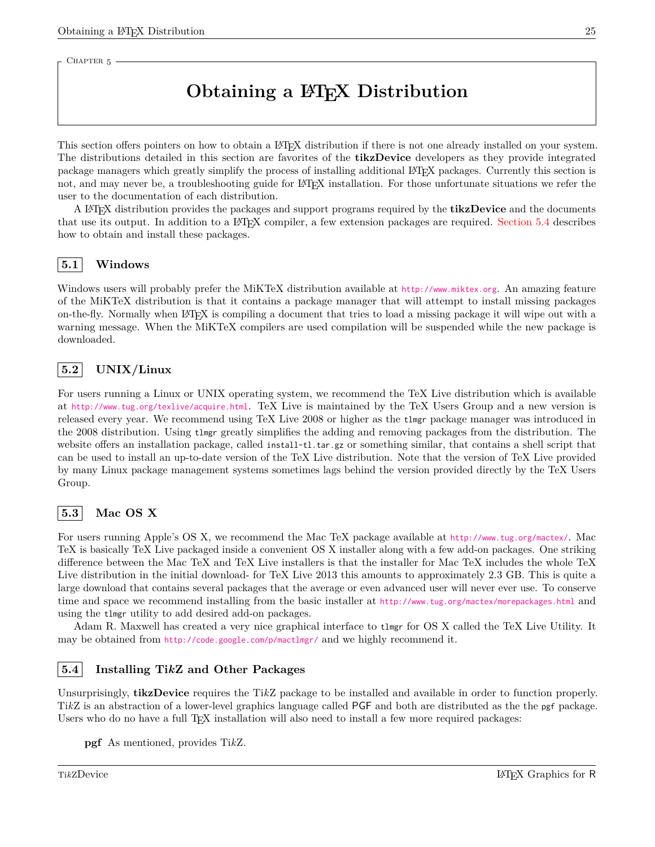<span id="page-27-0"></span>CHAPTER 5

# **Obtaining a LATEX Distribution**

This section offers pointers on how to obtain a LATEX distribution if there is not one already installed on your system. The distributions detailed in this section are favorites of the **tikzDevice** developers as they provide integrated package managers which greatly simplify the process of installing additional L<sup>A</sup>TEX packages. Currently this section is not, and may never be, a troubleshooting guide for LATEX installation. For those unfortunate situations we refer the user to the documentation of each distribution.

A L<sup>A</sup>TEX distribution provides the packages and support programs required by the **tikzDevice** and the documents that use its output. In addition to a LAT<sub>EX</sub> compiler, a few extension packages are required. [Section 5.4](#page-27-4) describes how to obtain and install these packages.

## <span id="page-27-1"></span>**5.1 Windows**

Windows users will probably prefer the MiKTeX distribution available at <http://www.miktex.org>. An amazing feature of the MiKTeX distribution is that it contains a package manager that will attempt to install missing packages on-the-fly. Normally when L<sup>A</sup>TEX is compiling a document that tries to load a missing package it will wipe out with a warning message. When the MiKTeX compilers are used compilation will be suspended while the new package is downloaded.

## <span id="page-27-2"></span>**5.2 UNIX/Linux**

For users running a Linux or UNIX operating system, we recommend the TeX Live distribution which is available at <http://www.tug.org/texlive/acquire.html>. TeX Live is maintained by the TeX Users Group and a new version is released every year. We recommend using TeX Live 2008 or higher as the tlmgr package manager was introduced in the 2008 distribution. Using tlmgr greatly simplifies the adding and removing packages from the distribution. The website offers an installation package, called install-tl.tar.gz or something similar, that contains a shell script that can be used to install an up-to-date version of the TeX Live distribution. Note that the version of TeX Live provided by many Linux package management systems sometimes lags behind the version provided directly by the TeX Users Group.

### <span id="page-27-3"></span>**5.3 Mac OS X**

For users running Apple's OS X, we recommend the Mac TeX package available at <http://www.tug.org/mactex/>. Mac TeX is basically TeX Live packaged inside a convenient OS X installer along with a few add-on packages. One striking difference between the Mac TeX and TeX Live installers is that the installer for Mac TeX includes the whole TeX Live distribution in the initial download- for TeX Live 2013 this amounts to approximately 2.3 GB. This is quite a large download that contains several packages that the average or even advanced user will never ever use. To conserve time and space we recommend installing from the basic installer at <http://www.tug.org/mactex/morepackages.html> and using the tlmgr utility to add desired add-on packages.

Adam R. Maxwell has created a very nice graphical interface to tlmgr for OS X called the TeX Live Utility. It may be obtained from <http://code.google.com/p/mactlmgr/> and we highly recommend it.

#### <span id="page-27-4"></span>**5.4 Installing Ti***k***Z and Other Packages**

Unsurprisingly, **tikzDevice** requires the Ti*k*Z package to be installed and available in order to function properly. Ti*k*Z is an abstraction of a lower-level graphics language called PGF and both are distributed as the the pgf package. Users who do no have a full T<sub>EX</sub> installation will also need to install a few more required packages:

**pgf** As mentioned, provides Ti*k*Z.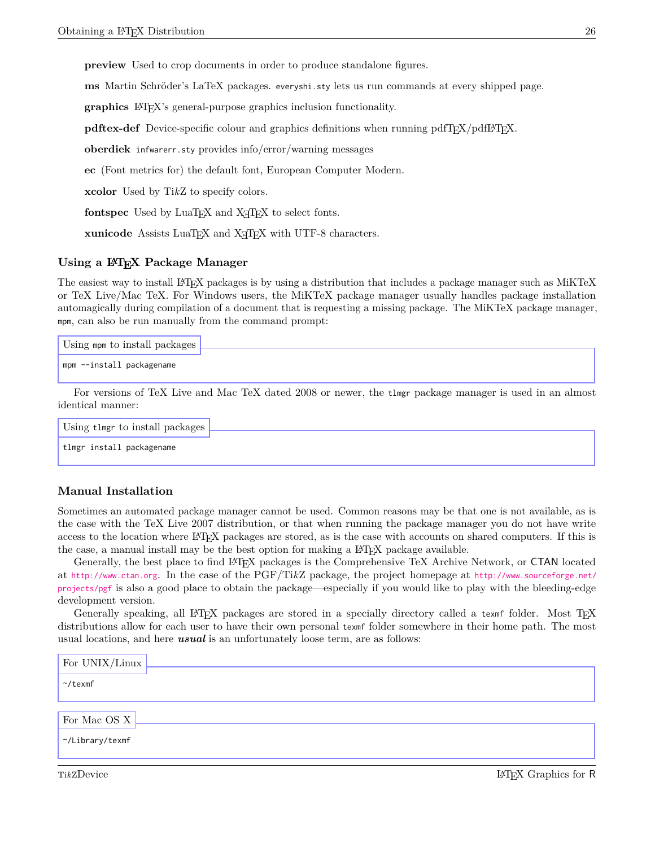**preview** Used to crop documents in order to produce standalone figures.

**ms** Martin Schröder's LaTeX packages. everyshi.sty lets us run commands at every shipped page.

**graphics** LAT<sub>EX</sub>'s general-purpose graphics inclusion functionality.

**pdftex-def** Device-specific colour and graphics definitions when running pdfT<sub>E</sub>X/pdfL<sup>AT</sup>EX.

**oberdiek** infwarerr.sty provides info/error/warning messages

**ec** (Font metrics for) the default font, European Computer Modern.

**xcolor** Used by Ti*k*Z to specify colors.

**fontspec** Used by LuaT<sub>E</sub>X and X<sub>T</sub>T<sub>E</sub>X to select fonts.

**xunicode** Assists LuaT<sub>E</sub>X and X<sub>T</sub>T<sub>E</sub>X with UTF-8 characters.

#### <span id="page-28-0"></span>**Using a L<sup>A</sup>TEX Package Manager**

The easiest way to install L<sup>A</sup>TEX packages is by using a distribution that includes a package manager such as MiKTeX or TeX Live/Mac TeX. For Windows users, the MiKTeX package manager usually handles package installation automagically during compilation of a document that is requesting a missing package. The MiKTeX package manager, mpm, can also be run manually from the command prompt:

| Using mpm to install packages |                                                                                                          |  |
|-------------------------------|----------------------------------------------------------------------------------------------------------|--|
| mpm --install packagename     |                                                                                                          |  |
|                               | For versions of TeX Live and Mac TeX dated 2008 or newer, the timer package manager is used in an almost |  |
| identical manner:             |                                                                                                          |  |

| Using tlmgr to install packages |  |
|---------------------------------|--|
| tlmgr install packagename       |  |

#### <span id="page-28-1"></span>**Manual Installation**

Sometimes an automated package manager cannot be used. Common reasons may be that one is not available, as is the case with the TeX Live 2007 distribution, or that when running the package manager you do not have write access to the location where L<sup>A</sup>TEX packages are stored, as is the case with accounts on shared computers. If this is the case, a manual install may be the best option for making a L<sup>AT</sup>EX package available.

Generally, the best place to find L<sup>A</sup>TEX packages is the Comprehensive TeX Archive Network, or CTAN located at <http://www.ctan.org>. In the case of the PGF/Ti*k*Z package, the project homepage at [http://www.sourceforge.net/](http://www.sourceforge.net/projects/pgf) [projects/pgf](http://www.sourceforge.net/projects/pgf) is also a good place to obtain the package—especially if you would like to play with the bleeding-edge development version.

Generally speaking, all LATEX packages are stored in a specially directory called a texmf folder. Most TEX distributions allow for each user to have their own personal texmf folder somewhere in their home path. The most usual locations, and here *usual* is an unfortunately loose term, are as follows:

| For $UNIX/Linux$ |  |
|------------------|--|
| $\gamma$ texmf   |  |
| For Mac OS X     |  |
| ~/Library/texmf  |  |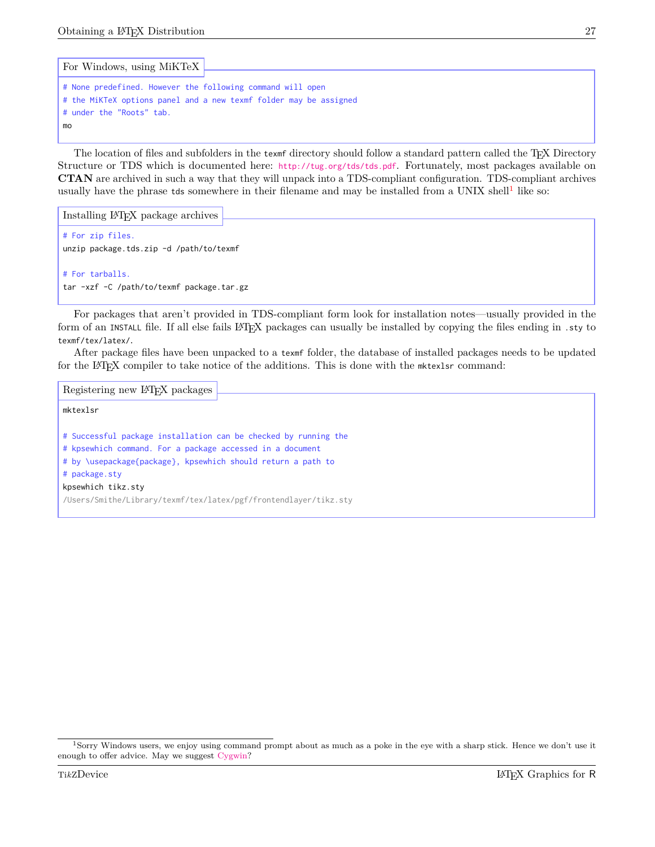```
# None predefined. However the following command will open
# the MiKTeX options panel and a new texmf folder may be assigned
# under the "Roots" tab.
mo
For Windows, using MiKTeX
```
The location of files and subfolders in the texmf directory should follow a standard pattern called the TEX Directory Structure or TDS which is documented here: <http://tug.org/tds/tds.pdf>. Fortunately, most packages available on **CTAN** are archived in such a way that they will unpack into a TDS-compliant configuration. TDS-compliant archives usually have the phrase tds somewhere in their filename and may be installed from a UNIX shell<sup>[1](#page-29-0)</sup> like so:

```
# For zip files.
unzip package.tds.zip -d /path/to/texmf
# For tarballs.
tar -xzf -C /path/to/texmf package.tar.gz
Installing LATEX package archives
```
For packages that aren't provided in TDS-compliant form look for installation notes—usually provided in the form of an INSTALL file. If all else fails LATEX packages can usually be installed by copying the files ending in .sty to texmf/tex/latex/.

After package files have been unpacked to a texmf folder, the database of installed packages needs to be updated for the LAT<sub>E</sub>X compiler to take notice of the additions. This is done with the mktexlsr command:

```
mktexlsr
# Successful package installation can be checked by running the
# kpsewhich command. For a package accessed in a document
# by \usepackage{package}, kpsewhich should return a path to
# package.sty
kpsewhich tikz.sty
/Users/Smithe/Library/texmf/tex/latex/pgf/frontendlayer/tikz.sty
Registering new LATEX packages
```
<span id="page-29-0"></span><sup>1</sup>Sorry Windows users, we enjoy using command prompt about as much as a poke in the eye with a sharp stick. Hence we don't use it enough to offer advice. May we suggest [Cygwin?](http://www.cygwin.com)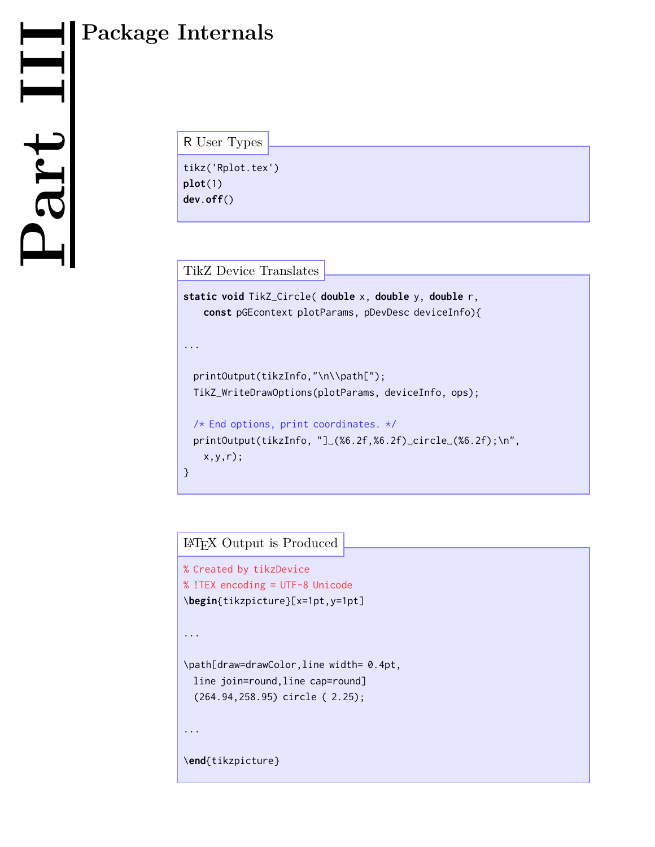## R User Types

tikz('Rplot.tex') **plot**(1) **dev**.**off**()

TikZ Device Translates

```
static void TikZ_Circle( double x, double y, double r,
   const pGEcontext plotParams, pDevDesc deviceInfo){
...
 printOutput(tikzInfo,"\n\\path[");
 TikZ_WriteDrawOptions(plotParams, deviceInfo, ops);
 /* End options, print coordinates. */
 printOutput(tikzInfo, "]␣(%6.2f,%6.2f)␣circle␣(%6.2f);\n",
   x,y,r);
}
```
## L<sup>A</sup>TEX Output is Produced

```
% Created by tikzDevice
% !TEX encoding = UTF-8 Unicode
\begin{tikzpicture}[x=1pt,y=1pt]
...
\path[draw=drawColor,line width= 0.4pt,
 line join=round,line cap=round]
  (264.94,258.95) circle ( 2.25);
...
\end{tikzpicture}
```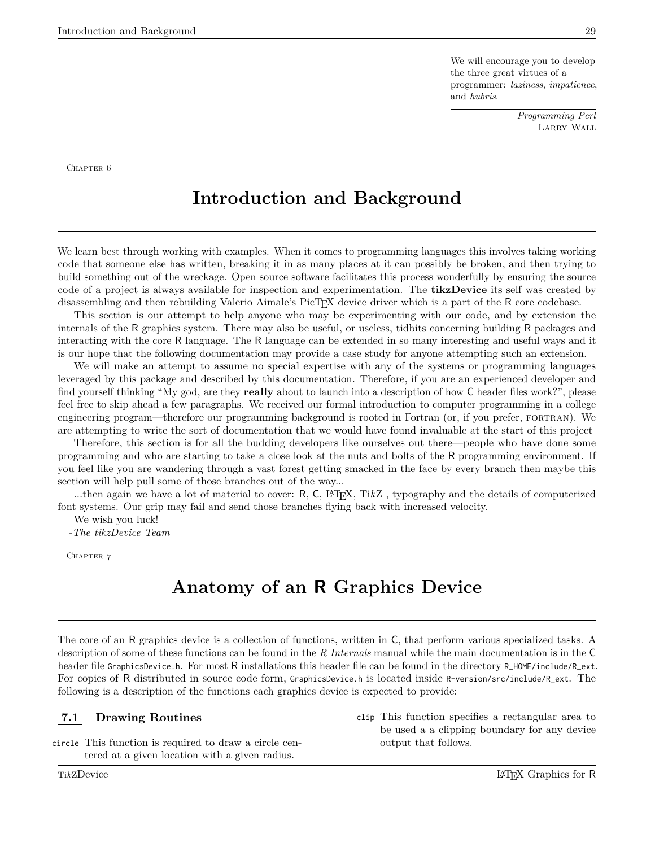We will encourage you to develop the three great virtues of a programmer: *laziness*, *impatience*, and *hubris*.

> *Programming Perl* –Larry Wall

<span id="page-31-0"></span>CHAPTER 6

# **Introduction and Background**

We learn best through working with examples. When it comes to programming languages this involves taking working code that someone else has written, breaking it in as many places at it can possibly be broken, and then trying to build something out of the wreckage. Open source software facilitates this process wonderfully by ensuring the source code of a project is always available for inspection and experimentation. The **tikzDevice** its self was created by disassembling and then rebuilding Valerio Aimale's PicT<sub>EX</sub> device driver which is a part of the R core codebase.

This section is our attempt to help anyone who may be experimenting with our code, and by extension the internals of the R graphics system. There may also be useful, or useless, tidbits concerning building R packages and interacting with the core R language. The R language can be extended in so many interesting and useful ways and it is our hope that the following documentation may provide a case study for anyone attempting such an extension.

We will make an attempt to assume no special expertise with any of the systems or programming languages leveraged by this package and described by this documentation. Therefore, if you are an experienced developer and find yourself thinking "My god, are they **really** about to launch into a description of how C header files work?", please feel free to skip ahead a few paragraphs. We received our formal introduction to computer programming in a college engineering program—therefore our programming background is rooted in Fortran (or, if you prefer, fortran). We are attempting to write the sort of documentation that we would have found invaluable at the start of this project

Therefore, this section is for all the budding developers like ourselves out there—people who have done some programming and who are starting to take a close look at the nuts and bolts of the R programming environment. If you feel like you are wandering through a vast forest getting smacked in the face by every branch then maybe this section will help pull some of those branches out of the way...

...then again we have a lot of material to cover: R, C, L<sup>A</sup>T<sub>E</sub>X, TikZ, typography and the details of computerized font systems. Our grip may fail and send those branches flying back with increased velocity.

We wish you luck!

<span id="page-31-1"></span>*-The tikzDevice Team*

CHAPTER 7 -

## **Anatomy of an R Graphics Device**

The core of an R graphics device is a collection of functions, written in C, that perform various specialized tasks. A description of some of these functions can be found in the *R Internals* manual while the main documentation is in the C header file GraphicsDevice.h. For most R installations this header file can be found in the directory R\_HOME/include/R\_ext. For copies of R distributed in source code form, GraphicsDevice.h is located inside R-version/src/include/R\_ext. The following is a description of the functions each graphics device is expected to provide:

#### <span id="page-31-2"></span>**7.1 Drawing Routines**

circle This function is required to draw a circle centered at a given location with a given radius.

be used a a clipping boundary for any device output that follows.

clip This function specifies a rectangular area to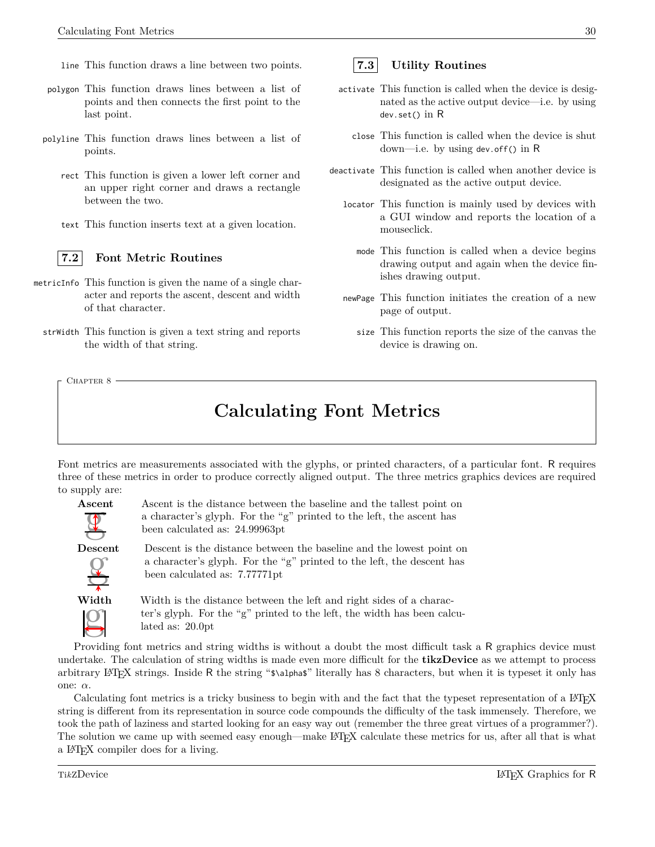- line This function draws a line between two points.
- polygon This function draws lines between a list of points and then connects the first point to the last point.
- polyline This function draws lines between a list of points.
	- rect This function is given a lower left corner and an upper right corner and draws a rectangle between the two.
	- text This function inserts text at a given location.

<span id="page-32-0"></span>

#### **7.2 Font Metric Routines**

- metricInfo This function is given the name of a single character and reports the ascent, descent and width of that character.
	- strWidth This function is given a text string and reports the width of that string.

<span id="page-32-2"></span>CHAPTER 8

# **Calculating Font Metrics**

Font metrics are measurements associated with the glyphs, or printed characters, of a particular font. R requires three of these metrics in order to produce correctly aligned output. The three metrics graphics devices are required to supply are:



Ascent is the distance between the baseline and the tallest point on a character's glyph. For the "g" printed to the left, the ascent has been calculated as: 24.99963pt

Descent is the distance between the baseline and the lowest point on a character's glyph. For the "g" printed to the left, the descent has been calculated as: 7.77771pt

Width is the distance between the left and right sides of a character's glyph. For the "g" printed to the left, the width has been calculated as: 20.0pt

Providing font metrics and string widths is without a doubt the most difficult task a R graphics device must undertake. The calculation of string widths is made even more difficult for the **tikzDevice** as we attempt to process arbitrary L<sup>A</sup>TEX strings. Inside <sup>R</sup> the string "\$\alpha\$" literally has 8 characters, but when it is typeset it only has one: *α*.

Calculating font metrics is a tricky business to begin with and the fact that the typeset representation of a LATEX string is different from its representation in source code compounds the difficulty of the task immensely. Therefore, we took the path of laziness and started looking for an easy way out (remember the three great virtues of a programmer?). The solution we came up with seemed easy enough—make L<sup>A</sup>TEX calculate these metrics for us, after all that is what a L<sup>A</sup>TEX compiler does for a living.

## <span id="page-32-1"></span>**7.3 Utility Routines**

- activate This function is called when the device is designated as the active output device—i.e. by using dev.set() in R
	- close This function is called when the device is shut down—i.e. by using dev.off() in R
- deactivate This function is called when another device is designated as the active output device.
	- locator This function is mainly used by devices with a GUI window and reports the location of a mouseclick.
		- mode This function is called when a device begins drawing output and again when the device finishes drawing output.
	- newPage This function initiates the creation of a new page of output.
		- size This function reports the size of the canvas the device is drawing on.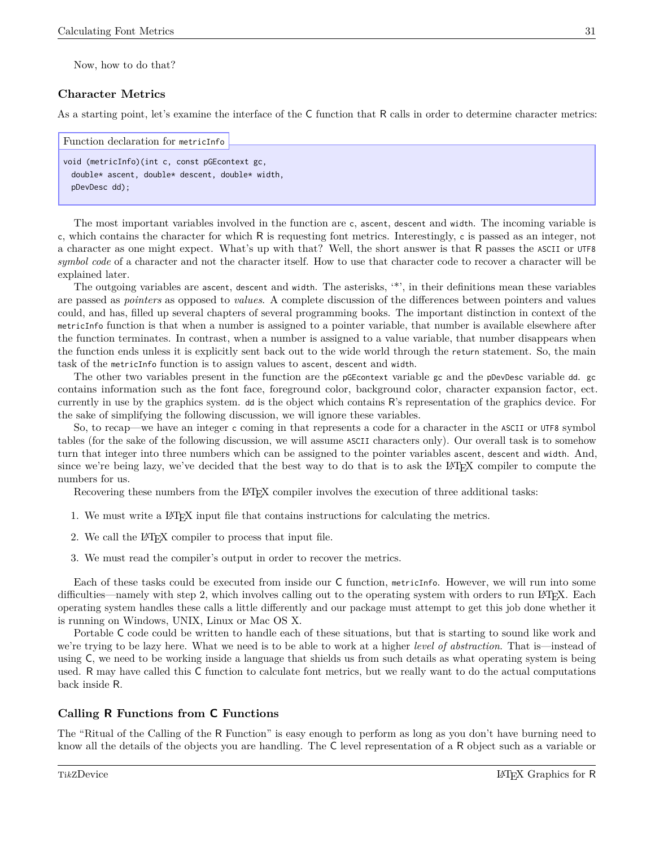Now, how to do that?

#### <span id="page-33-0"></span>**Character Metrics**

As a starting point, let's examine the interface of the C function that R calls in order to determine character metrics:

```
Function declaration for metricInfo
```

```
void (metricInfo)(int c, const pGEcontext gc,
 double* ascent, double* descent, double* width,
 pDevDesc dd);
```
The most important variables involved in the function are c, ascent, descent and width. The incoming variable is <sup>c</sup>, which contains the character for which R is requesting font metrics. Interestingly, <sup>c</sup> is passed as an integer, not a character as one might expect. What's up with that? Well, the short answer is that R passes the ASCII or UTF8 *symbol code* of a character and not the character itself. How to use that character code to recover a character will be explained later.

The outgoing variables are ascent, descent and width. The asterisks, '\*', in their definitions mean these variables are passed as *pointers* as opposed to *values*. A complete discussion of the differences between pointers and values could, and has, filled up several chapters of several programming books. The important distinction in context of the metricInfo function is that when a number is assigned to a pointer variable, that number is available elsewhere after the function terminates. In contrast, when a number is assigned to a value variable, that number disappears when the function ends unless it is explicitly sent back out to the wide world through the return statement. So, the main task of the metricInfo function is to assign values to ascent, descent and width.

The other two variables present in the function are the pGEcontext variable gc and the pDevDesc variable dd. gc contains information such as the font face, foreground color, background color, character expansion factor, ect. currently in use by the graphics system. dd is the object which contains R's representation of the graphics device. For the sake of simplifying the following discussion, we will ignore these variables.

So, to recap—we have an integer c coming in that represents a code for a character in the ASCII or UTF8 symbol tables (for the sake of the following discussion, we will assume ASCII characters only). Our overall task is to somehow turn that integer into three numbers which can be assigned to the pointer variables ascent, descent and width. And, since we're being lazy, we've decided that the best way to do that is to ask the LATEX compiler to compute the numbers for us.

Recovering these numbers from the LAT<sub>EX</sub> compiler involves the execution of three additional tasks:

- 1. We must write a LATEX input file that contains instructions for calculating the metrics.
- 2. We call the L<sup>AT</sup>FX compiler to process that input file.
- 3. We must read the compiler's output in order to recover the metrics.

Each of these tasks could be executed from inside our C function, metricInfo. However, we will run into some difficulties—namely with step 2, which involves calling out to the operating system with orders to run LATEX. Each operating system handles these calls a little differently and our package must attempt to get this job done whether it is running on Windows, UNIX, Linux or Mac OS X.

Portable C code could be written to handle each of these situations, but that is starting to sound like work and we're trying to be lazy here. What we need is to be able to work at a higher *level of abstraction*. That is—instead of using C, we need to be working inside a language that shields us from such details as what operating system is being used. R may have called this C function to calculate font metrics, but we really want to do the actual computations back inside R.

#### <span id="page-33-1"></span>**Calling R Functions from C Functions**

The "Ritual of the Calling of the R Function" is easy enough to perform as long as you don't have burning need to know all the details of the objects you are handling. The C level representation of a R object such as a variable or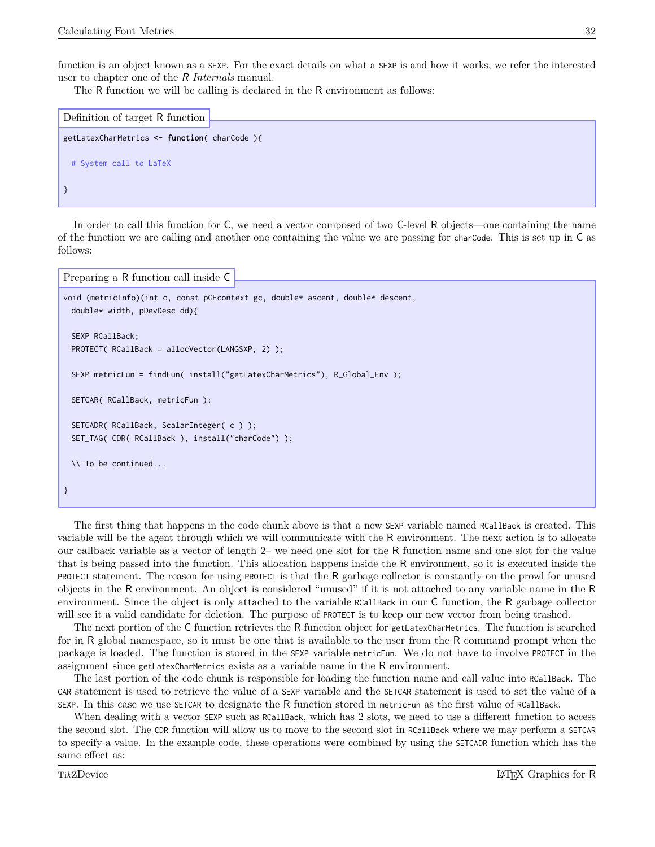function is an object known as a SEXP. For the exact details on what a SEXP is and how it works, we refer the interested user to chapter one of the R *Internals* manual.

The R function we will be calling is declared in the R environment as follows:

```
getLatexCharMetrics <- function( charCode ){
 # System call to LaTeX
}
Definition of target R function
```
In order to call this function for C, we need a vector composed of two C-level R objects—one containing the name of the function we are calling and another one containing the value we are passing for charCode. This is set up in C as follows:

```
Preparing a R function call inside C
```

```
void (metricInfo)(int c, const pGEcontext gc, double* ascent, double* descent,
 double* width, pDevDesc dd){
 SEXP RCallBack;
 PROTECT( RCallBack = allocVector(LANGSXP, 2) );
 SEXP metricFun = findFun( install("getLatexCharMetrics"), R_Global_Env );
 SETCAR( RCallBack, metricFun );
 SETCADR( RCallBack, ScalarInteger( c ) );
 SET_TAG( CDR( RCallBack ), install("charCode") );
 \\ To be continued...
}
```
The first thing that happens in the code chunk above is that a new SEXP variable named RCallBack is created. This variable will be the agent through which we will communicate with the R environment. The next action is to allocate our callback variable as a vector of length 2– we need one slot for the R function name and one slot for the value that is being passed into the function. This allocation happens inside the R environment, so it is executed inside the PROTECT statement. The reason for using PROTECT is that the R garbage collector is constantly on the prowl for unused objects in the R environment. An object is considered "unused" if it is not attached to any variable name in the R environment. Since the object is only attached to the variable RCallBack in our C function, the R garbage collector will see it a valid candidate for deletion. The purpose of PROTECT is to keep our new vector from being trashed.

The next portion of the C function retrieves the R function object for getLatexCharMetrics. The function is searched for in R global namespace, so it must be one that is available to the user from the R command prompt when the package is loaded. The function is stored in the SEXP variable metricFun. We do not have to involve PROTECT in the assignment since getLatexCharMetrics exists as a variable name in the R environment.

The last portion of the code chunk is responsible for loading the function name and call value into RCallBack. The CAR statement is used to retrieve the value of a SEXP variable and the SETCAR statement is used to set the value of a SEXP. In this case we use SETCAR to designate the R function stored in metricFun as the first value of RCallBack.

When dealing with a vector SEXP such as RCallBack, which has 2 slots, we need to use a different function to access the second slot. The CDR function will allow us to move to the second slot in RCallBack where we may perform a SETCAR to specify a value. In the example code, these operations were combined by using the SETCADR function which has the same effect as: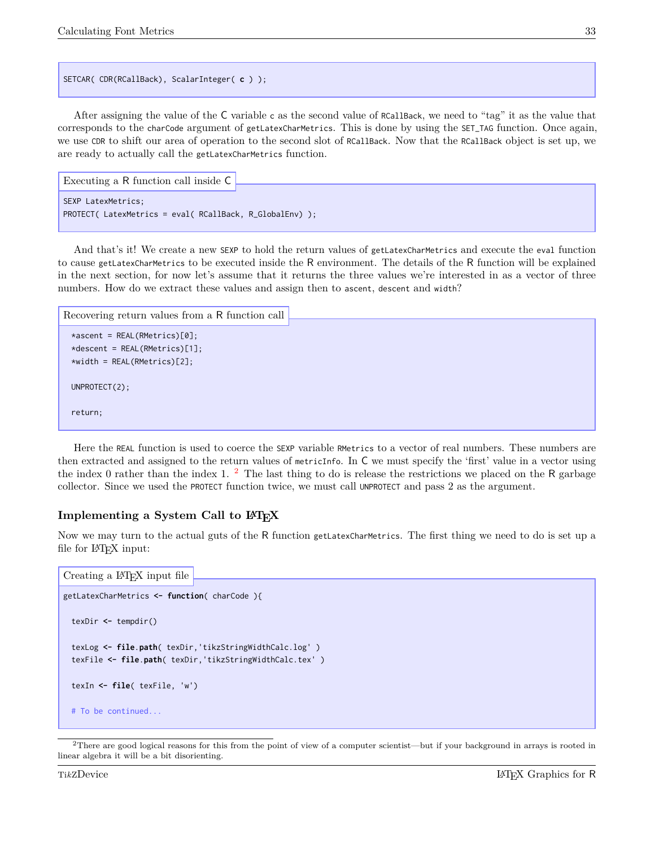SETCAR( CDR(RCallBack), ScalarInteger( **c** ) );

After assigning the value of the C variable <sup>c</sup> as the second value of RCallBack, we need to "tag" it as the value that corresponds to the charCode argument of getLatexCharMetrics. This is done by using the SET\_TAG function. Once again, we use CDR to shift our area of operation to the second slot of RCallBack. Now that the RCallBack object is set up, we are ready to actually call the getLatexCharMetrics function.

```
SEXP LatexMetrics;
PROTECT( LatexMetrics = eval( RCallBack, R_GlobalEnv) );
Executing a R function call inside C
```
And that's it! We create a new SEXP to hold the return values of getLatexCharMetrics and execute the eval function to cause getLatexCharMetrics to be executed inside the R environment. The details of the R function will be explained in the next section, for now let's assume that it returns the three values we're interested in as a vector of three numbers. How do we extract these values and assign then to ascent, descent and width?

```
*ascent = REAL(RMetrics)[0];
 *descent = REAL(RMetrics)[1];
 *width = REAL(RMetrics)[2];
 UNPROTECT(2);
 return;
Recovering return values from a R function call
```
Here the REAL function is used to coerce the SEXP variable RMetrics to a vector of real numbers. These numbers are then extracted and assigned to the return values of metricInfo. In C we must specify the 'first' value in a vector using the index 0 rather than the index 1.  $^2$  $^2$  The last thing to do is release the restrictions we placed on the R garbage collector. Since we used the PROTECT function twice, we must call UNPROTECT and pass 2 as the argument.

#### <span id="page-35-0"></span>**Implementing a System Call to**  $\text{LATEX}$

Now we may turn to the actual guts of the R function getLatexCharMetrics. The first thing we need to do is set up a file for L<sup>AT</sup>FX input:

```
getLatexCharMetrics <- function( charCode ){
  texDir <- tempdir()
 texLog <- file.path( texDir,'tikzStringWidthCalc.log' )
  texFile <- file.path( texDir,'tikzStringWidthCalc.tex' )
  texIn <- file( texFile, 'w')
 # To be continued...
Creating a L<sup>AT</sup>FX input file
```
<span id="page-35-1"></span> $2$ There are good logical reasons for this from the point of view of a computer scientist—but if your background in arrays is rooted in linear algebra it will be a bit disorienting.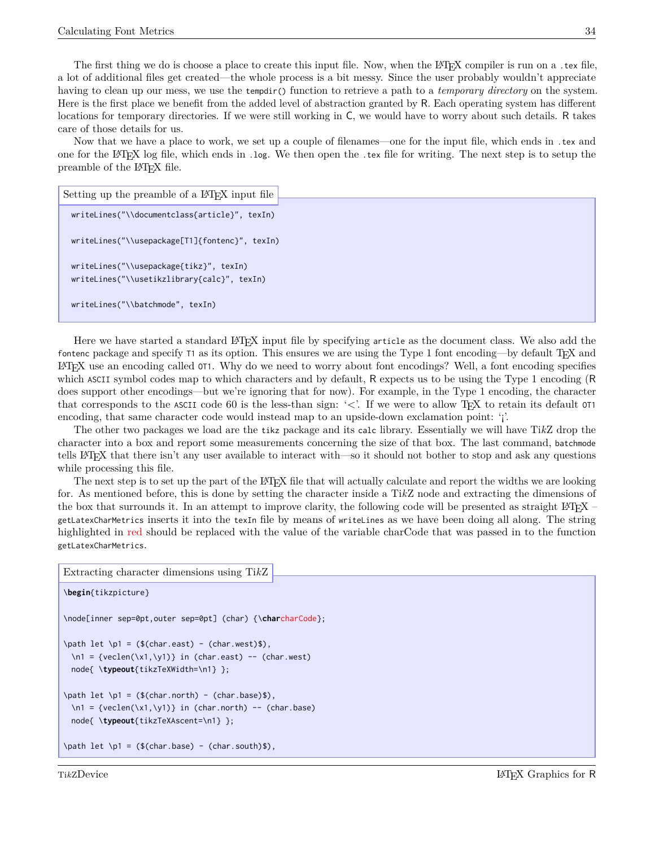The first thing we do is choose a place to create this input file. Now, when the L<sup>AT</sup>FX compiler is run on a .tex file, a lot of additional files get created—the whole process is a bit messy. Since the user probably wouldn't appreciate having to clean up our mess, we use the tempdir() function to retrieve a path to a *temporary directory* on the system. Here is the first place we benefit from the added level of abstraction granted by R. Each operating system has different locations for temporary directories. If we were still working in C, we would have to worry about such details. R takes care of those details for us.

Now that we have a place to work, we set up a couple of filenames—one for the input file, which ends in .tex and one for the L<sup>A</sup>TEX log file, which ends in .log. We then open the .tex file for writing. The next step is to setup the preamble of the L<sup>A</sup>TEX file.

```
writeLines("\\documentclass{article}", texIn)
 writeLines("\\usepackage[T1]{fontenc}", texIn)
 writeLines("\\usepackage{tikz}", texIn)
 writeLines("\\usetikzlibrary{calc}", texIn)
 writeLines("\\batchmode", texIn)
Setting up the preamble of a L<sup>AT</sup>FX input file
```
Here we have started a standard LATEX input file by specifying article as the document class. We also add the fontenc package and specify  $\tau_1$  as its option. This ensures we are using the Type 1 font encoding—by default T<sub>E</sub>X and L<sup>A</sup>TEX use an encoding called OT1. Why do we need to worry about font encodings? Well, a font encoding specifies which ASCII symbol codes map to which characters and by default, R expects us to be using the Type 1 encoding (R does support other encodings—but we're ignoring that for now). For example, in the Type 1 encoding, the character that corresponds to the ASCII code 60 is the less-than sign: ' $\lt$ '. If we were to allow T<sub>E</sub>X to retain its default 0T1 encoding, that same character code would instead map to an upside-down exclamation point: 'i'.

The other two packages we load are the tikz package and its calc library. Essentially we will have Ti*k*Z drop the character into a box and report some measurements concerning the size of that box. The last command, batchmode tells L<sup>A</sup>TEX that there isn't any user available to interact with—so it should not bother to stop and ask any questions while processing this file.

The next step is to set up the part of the LAT<sub>EX</sub> file that will actually calculate and report the widths we are looking for. As mentioned before, this is done by setting the character inside a Ti*k*Z node and extracting the dimensions of the box that surrounds it. In an attempt to improve clarity, the following code will be presented as straight L<sup>A</sup>TEX – getLatexCharMetrics inserts it into the texIn file by means of writeLines as we have been doing all along. The string highlighted in red should be replaced with the value of the variable charCode that was passed in to the function getLatexCharMetrics.

```
\begin{tikzpicture}
\node[inner sep=0pt,outer sep=0pt] (char) {\charcharCode};
\path let \p1 = ($(char.east) - (char.west)$,
 \n\times 1 = \{veclen(\x1, \y1)\} in (char.east) -- (char.west)
 node{ \typeout{tikzTeXWidth=\n1} };
\path let \p1 = ($(char.north) - (char.base)$),\n\times 1 = \{ \text{veclen}(\x1, \y1) \} in (char.north) -- (char.base)
 node{ \typeout{tikzTeXAscent=\n1} };
\path let \p1 = ($(char.\text{base}) - (char.\text{south})$,
Extracting character dimensions using TikZ
```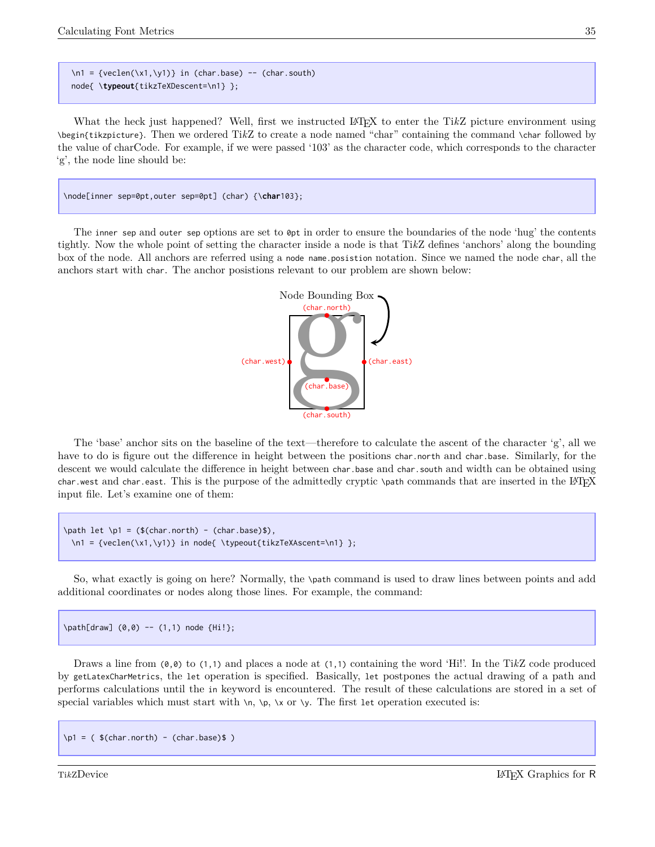\n1 = {veclen(\x1,\y1)} in (char.base) -- (char.south) node{ \**typeout**{tikzTeXDescent=\n1} };

What the heck just happened? Well, first we instructed L<sup>A</sup>TEX to enter the Ti*k*Z picture environment using \begin{tikzpicture}. Then we ordered Ti*k*Z to create a node named "char" containing the command \char followed by the value of charCode. For example, if we were passed '103' as the character code, which corresponds to the character 'g', the node line should be:

\node[inner sep=0pt,outer sep=0pt] (char) {\**char**103};

The inner sep and outer sep options are set to 0pt in order to ensure the boundaries of the node 'hug' the contents tightly. Now the whole point of setting the character inside a node is that Ti*k*Z defines 'anchors' along the bounding box of the node. All anchors are referred using a node name.posistion notation. Since we named the node char, all the anchors start with char. The anchor posistions relevant to our problem are shown below:



The 'base' anchor sits on the baseline of the text—therefore to calculate the ascent of the character 'g', all we have to do is figure out the difference in height between the positions char.north and char.base. Similarly, for the descent we would calculate the difference in height between char.base and char.south and width can be obtained using char.west and char.east. This is the purpose of the admittedly cryptic \path commands that are inserted in the LATEX input file. Let's examine one of them:

\path let \p1 =  $($(char.north) - (char.base)$)$ , \n1 = {veclen(\x1,\y1)} in node{ \typeout{tikzTeXAscent=\n1} };

So, what exactly is going on here? Normally, the \path command is used to draw lines between points and add additional coordinates or nodes along those lines. For example, the command:

\path[draw] (0,0) -- (1,1) node {Hi!};

Draws a line from (0,0) to (1,1) and places a node at (1,1) containing the word 'Hi!'. In the Ti*k*Z code produced by getLatexCharMetrics, the let operation is specified. Basically, let postpones the actual drawing of a path and performs calculations until the in keyword is encountered. The result of these calculations are stored in a set of special variables which must start with  $\n\lambda, \n\lambda, \n\lambda$  or  $\lambda$ . The first let operation executed is:

 $\pi = ($  \$(char.north) - (char.base)\$)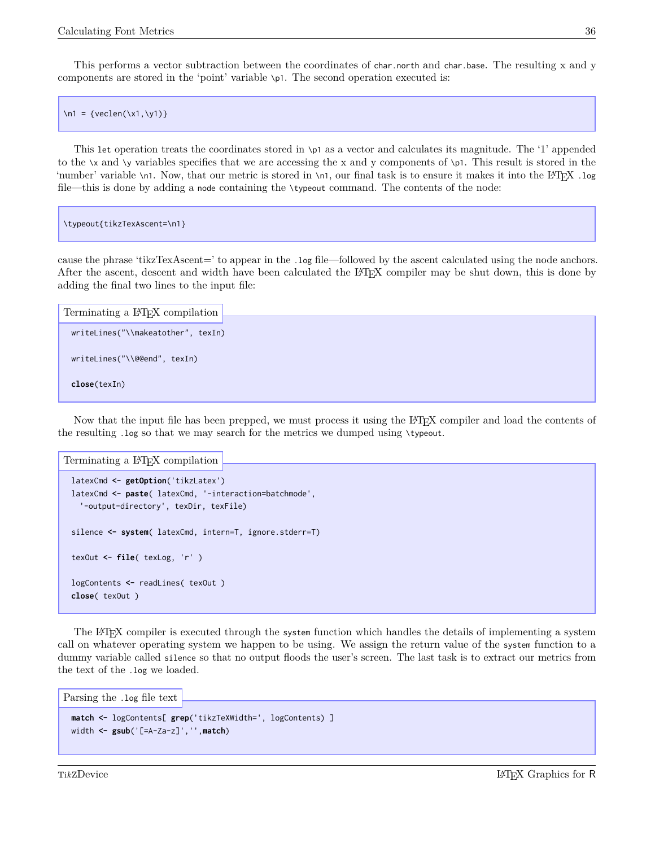This performs a vector subtraction between the coordinates of char.north and char.base. The resulting x and y components are stored in the 'point' variable \p1. The second operation executed is:

 $\ln 1 = {\text{veclen}(\x1, \y1)}$ 

This let operation treats the coordinates stored in \p1 as a vector and calculates its magnitude. The '1' appended to the \x and \y variables specifies that we are accessing the x and y components of \p1. This result is stored in the 'number' variable \n1. Now, that our metric is stored in \n1, our final task is to ensure it makes it into the L<sup>A</sup>TEX .log file—this is done by adding a node containing the \typeout command. The contents of the node:

```
\typeout{tikzTexAscent=\n1}
```
cause the phrase 'tikzTexAscent=' to appear in the .log file—followed by the ascent calculated using the node anchors. After the ascent, descent and width have been calculated the L<sup>A</sup>TEX compiler may be shut down, this is done by adding the final two lines to the input file:

```
writeLines("\\makeatother", texIn)
 writeLines("\\@@end", texIn)
 close(texIn)
Terminating a LATEX compilation
```
Now that the input file has been prepped, we must process it using the LAT<sub>EX</sub> compiler and load the contents of the resulting .log so that we may search for the metrics we dumped using \typeout.

Terminating a L<sup>A</sup>TEX compilation

```
latexCmd <- getOption('tikzLatex')
latexCmd <- paste( latexCmd, '-interaction=batchmode',
  '-output-directory', texDir, texFile)
silence <- system( latexCmd, intern=T, ignore.stderr=T)
texOut <- file( texLog, 'r' )
logContents <- readLines( texOut )
close( texOut )
```
The L<sup>A</sup>TEX compiler is executed through the system function which handles the details of implementing a system call on whatever operating system we happen to be using. We assign the return value of the system function to a dummy variable called silence so that no output floods the user's screen. The last task is to extract our metrics from the text of the .log we loaded.

```
Parsing the .log file text
```

```
match <- logContents[ grep('tikzTeXWidth=', logContents) ]
width <- gsub('[=A-Za-z]','',match)
```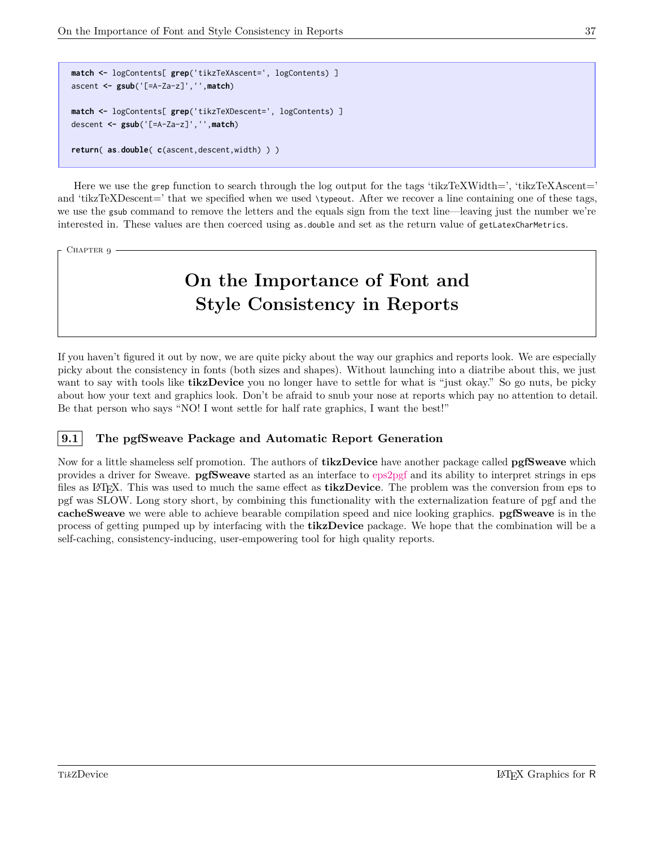```
match <- logContents[ grep('tikzTeXAscent=', logContents) ]
ascent <- gsub('[=A-Za-z]','',match)
match <- logContents[ grep('tikzTeXDescent=', logContents) ]
descent <- gsub('[=A-Za-z]','',match)
return( as.double( c(ascent,descent,width) ) )
```
Here we use the grep function to search through the log output for the tags 'tikzTeXWidth=', 'tikzTeXAscent=' and 'tikzTeXDescent=' that we specified when we used \typeout. After we recover a line containing one of these tags, we use the gsub command to remove the letters and the equals sign from the text line—leaving just the number we're interested in. These values are then coerced using as double and set as the return value of getLatexCharMetrics.

#### <span id="page-39-0"></span>CHAPTER 9

# **On the Importance of Font and Style Consistency in Reports**

If you haven't figured it out by now, we are quite picky about the way our graphics and reports look. We are especially picky about the consistency in fonts (both sizes and shapes). Without launching into a diatribe about this, we just want to say with tools like **tikzDevice** you no longer have to settle for what is "just okay." So go nuts, be picky about how your text and graphics look. Don't be afraid to snub your nose at reports which pay no attention to detail. Be that person who says "NO! I wont settle for half rate graphics, I want the best!"

#### <span id="page-39-1"></span>**9.1 The pgfSweave Package and Automatic Report Generation**

Now for a little shameless self promotion. The authors of **tikzDevice** have another package called **pgfSweave** which provides a driver for Sweave. **pgfSweave** started as an interface to [eps2pgf](http://sourceforge.net/projects/eps2pgf/) and its ability to interpret strings in eps files as L<sup>A</sup>TEX. This was used to much the same effect as **tikzDevice**. The problem was the conversion from eps to pgf was SLOW. Long story short, by combining this functionality with the externalization feature of pgf and the **cacheSweave** we were able to achieve bearable compilation speed and nice looking graphics. **pgfSweave** is in the process of getting pumped up by interfacing with the **tikzDevice** package. We hope that the combination will be a self-caching, consistency-inducing, user-empowering tool for high quality reports.